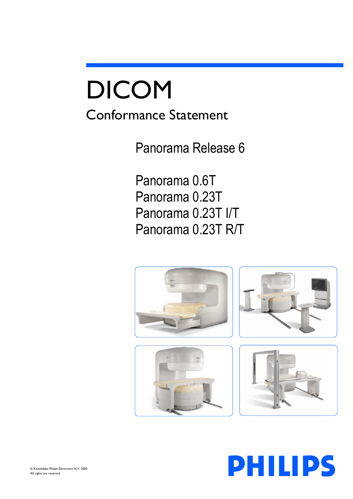# DICOM

# Conformance Statement

Panorama Release 6

Panorama 0.6T Panorama 0.23T Panorama 0.23T I/T Panorama 0.23T R/T



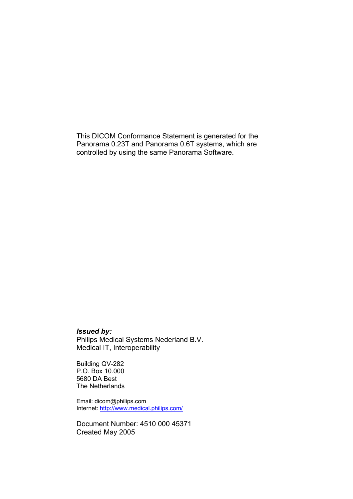This DICOM Conformance Statement is generated for the Panorama 0.23T and Panorama 0.6T systems, which are controlled by using the same Panorama Software.

## *Issued by:*

Philips Medical Systems Nederland B.V. Medical IT, Interoperability

Building QV-282 P.O. Box 10.000 5680 DA Best The Netherlands

Email: dicom@philips.com Internet: http://www.medical.philips.com/

Document Number: 4510 000 45371 Created May 2005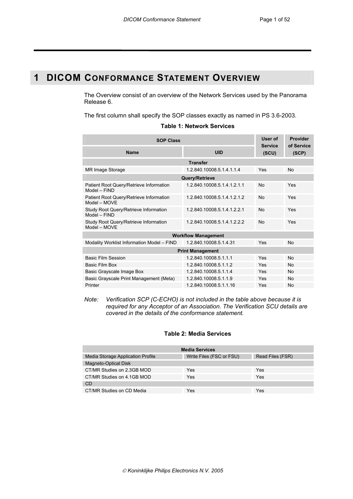# **1 DICOM CONFORMANCE STATEMENT OVERVIEW**

The Overview consist of an overview of the Network Services used by the Panorama Release 6.

The first column shall specify the SOP classes exactly as named in PS 3.6-2003.

| <b>Table 1: Network Services</b> |  |
|----------------------------------|--|
|----------------------------------|--|

| <b>SOP Class</b>                                          |                             |                         | Provider<br>of Service |  |
|-----------------------------------------------------------|-----------------------------|-------------------------|------------------------|--|
| <b>Name</b>                                               | UID                         | <b>Service</b><br>(SCU) | (SCP)                  |  |
|                                                           | <b>Transfer</b>             |                         |                        |  |
| <b>MR Image Storage</b>                                   | 1 2 840 10008 5 1 4 1 1 4   | Yes                     | No                     |  |
|                                                           | Query/Retrieve              |                         |                        |  |
| Patient Root Query/Retrieve Information<br>Model - FIND   | 1.2.840.10008.5.1.4.1.2.1.1 | N <sub>0</sub>          | Yes                    |  |
| Patient Root Query/Retrieve Information<br>$Model - MOVF$ | 1.2.840.10008.5.1.4.1.2.1.2 | No                      | Yes                    |  |
| Study Root Query/Retrieve Information<br>$Model - FIND$   | 1.2.840.10008.5.1.4.1.2.2.1 | No                      | Yes                    |  |
| Study Root Query/Retrieve Information<br>Model - MOVE     | 1.2.840.10008.5.1.4.1.2.2.2 | <b>No</b>               | Yes                    |  |
|                                                           | <b>Workflow Management</b>  |                         |                        |  |
| Modality Worklist Information Model - FIND                | 1.2.840.10008.5.1.4.31      | Yes                     | <b>No</b>              |  |
| <b>Print Management</b>                                   |                             |                         |                        |  |
| <b>Basic Film Session</b>                                 | 1.2.840.10008.5.1.1.1       | Yes                     | No                     |  |
| Basic Film Box                                            | 1.2.840.10008.5.1.1.2       | Yes                     | No                     |  |
| Basic Grayscale Image Box                                 | 1.2.840.10008.5.1.1.4       | Yes                     | No                     |  |
| Basic Grayscale Print Management (Meta)                   | 1.2.840.10008.5.1.1.9       | Yes                     | <b>No</b>              |  |
| Printer                                                   | 1.2.840.10008.5.1.1.16      | Yes                     | No                     |  |

*Note: Verification SCP (C-ECHO) is not included in the table above because it is required for any Acceptor of an Association. The Verification SCU details are covered in the details of the conformance statement.* 

#### **Table 2: Media Services**

| <b>Media Services</b>             |                          |                  |  |  |
|-----------------------------------|--------------------------|------------------|--|--|
| Media Storage Application Profile | Write Files (FSC or FSU) | Read Files (FSR) |  |  |
| <b>Magneto-Optical Disk</b>       |                          |                  |  |  |
| CT/MR Studies on 2.3GB MOD        | Yes                      | Yes              |  |  |
| CT/MR Studies on 4.1GB MOD        | Yes                      | Yes              |  |  |
| <b>CD</b>                         |                          |                  |  |  |
| CT/MR Studies on CD Media         | Yes                      | Yes              |  |  |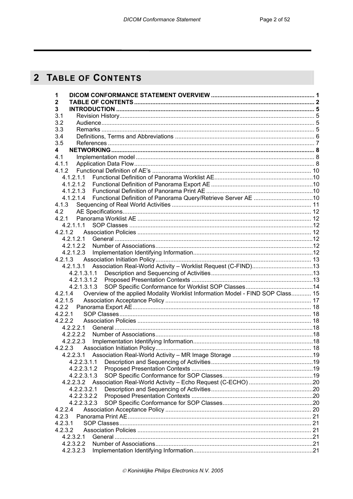# 2 TABLE OF CONTENTS

| 1                                                                                          |  |
|--------------------------------------------------------------------------------------------|--|
| $\mathbf 2$                                                                                |  |
| 3                                                                                          |  |
| 3.1                                                                                        |  |
| 3.2                                                                                        |  |
| 3.3                                                                                        |  |
| 3.4                                                                                        |  |
| 3.5                                                                                        |  |
| 4                                                                                          |  |
| 4.1                                                                                        |  |
| 4.1.1                                                                                      |  |
| 4.1.2                                                                                      |  |
| 4.1.2.1.1                                                                                  |  |
| 4.1.2.1.2                                                                                  |  |
| 4.1.2.1.3                                                                                  |  |
| 4.1.2.1.4                                                                                  |  |
| 4.1.3                                                                                      |  |
| 4.2                                                                                        |  |
| 4.2.1                                                                                      |  |
| 4.2.1.1.1                                                                                  |  |
|                                                                                            |  |
| 4.2.1.2.1                                                                                  |  |
| 4.2.1.2.2<br>4.2.1.2.3                                                                     |  |
|                                                                                            |  |
| 4.2.1.3<br>4.2.1.3.1 Association Real-World Activity - Worklist Request (C-FIND)13         |  |
| 4.2.1.3.1.1                                                                                |  |
| 4.2.1.3.1.2                                                                                |  |
| 4.2.1.3.1.3                                                                                |  |
| Overview of the applied Modality Worklist Information Model - FIND SOP Class 15<br>4.2.1.4 |  |
| 4.2.1.5                                                                                    |  |
|                                                                                            |  |
| 4.2.2.1                                                                                    |  |
|                                                                                            |  |
| 4.2.2.2.1                                                                                  |  |
| 4.2.2.2.2                                                                                  |  |
| 4.2.2.2.3                                                                                  |  |
| 4.2.2.3                                                                                    |  |
|                                                                                            |  |
| 4.2.2.3.1.1                                                                                |  |
| 4.2.2.3.1.2                                                                                |  |
| 4.2.2.3.1.3                                                                                |  |
|                                                                                            |  |
| 4.2.2.3.2.1                                                                                |  |
| 4.2.2.3.2.2                                                                                |  |
| 4.2.2.3.2.3                                                                                |  |
| 4.2.2.4                                                                                    |  |
| 4.2.3                                                                                      |  |
| 4.2.3.1                                                                                    |  |
| 4.2.3.2                                                                                    |  |
| 4.2.3.2.1                                                                                  |  |
| 4.2.3.2.2                                                                                  |  |
| 4.2.3.2.3                                                                                  |  |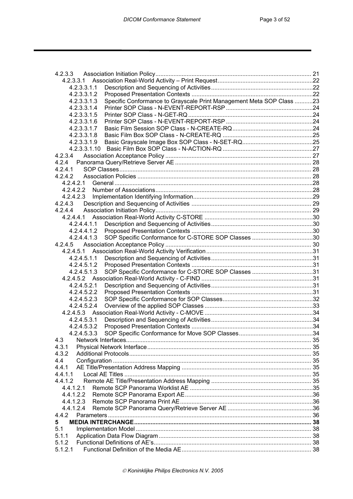| 4.2.3.3.1                                                                           |  |
|-------------------------------------------------------------------------------------|--|
| 4.2.3.3.1.1                                                                         |  |
| 4.2.3.3.1.2                                                                         |  |
| Specific Conformance to Grayscale Print Management Meta SOP Class 23<br>4.2.3.3.1.3 |  |
| 4.2.3.3.1.4                                                                         |  |
| 4.2.3.3.1.5                                                                         |  |
| 4.2.3.3.1.6                                                                         |  |
| 4.2.3.3.1.7                                                                         |  |
| 4.2.3.3.1.8                                                                         |  |
| 4.2.3.3.1.9                                                                         |  |
|                                                                                     |  |
| 4.2.3.4                                                                             |  |
|                                                                                     |  |
| 4.2.4.1                                                                             |  |
| 4.2.4.2                                                                             |  |
| 4.2.4.2.1                                                                           |  |
| 4.2.4.2.2                                                                           |  |
| 4.2.4.2.3                                                                           |  |
| 4.2.4.3                                                                             |  |
| 4.2.4.4                                                                             |  |
|                                                                                     |  |
| 4.2.4.4.1.1                                                                         |  |
|                                                                                     |  |
| 4.2.4.4.1.2                                                                         |  |
| 4.2.4.4.1.3                                                                         |  |
| 4.2.4.5                                                                             |  |
|                                                                                     |  |
| 4.2.4.5.1.1                                                                         |  |
| 4.2.4.5.1.2                                                                         |  |
| 4.2.4.5.1.3                                                                         |  |
|                                                                                     |  |
| 4.2.4.5.2.1                                                                         |  |
| 4.2.4.5.2.2                                                                         |  |
| 4.2.4.5.2.3                                                                         |  |
| 4.2.4.5.2.4                                                                         |  |
|                                                                                     |  |
| 4.2.4.5.3.1                                                                         |  |
| 4.2.4.5.3.2                                                                         |  |
| 4.2.4.5.3.3                                                                         |  |
| 4.3                                                                                 |  |
| 4.3.1                                                                               |  |
| 4.3.2                                                                               |  |
| 4.4                                                                                 |  |
| 4.4.1                                                                               |  |
| 4.4.1.1                                                                             |  |
| 4.4.1.2                                                                             |  |
| 4.4.1.2.1                                                                           |  |
| 4.4.1.2.2                                                                           |  |
| 4.4.1.2.3                                                                           |  |
| 4.4.1.2.4                                                                           |  |
| 4.4.2                                                                               |  |
|                                                                                     |  |
| 5.                                                                                  |  |
| 5.1                                                                                 |  |
| 5.1.1                                                                               |  |
| 5.1.2                                                                               |  |
| 5.1.2.1                                                                             |  |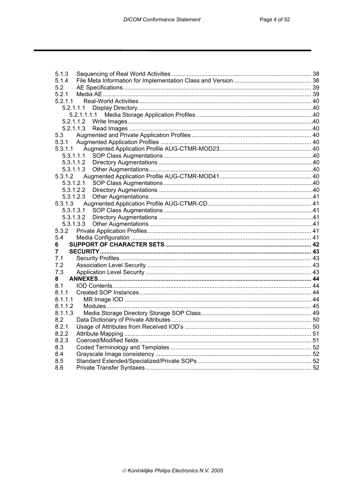| 5.1.3       |  |
|-------------|--|
| 5.1.4       |  |
| 5.2         |  |
| 5.2.1       |  |
| 5.2.1.1     |  |
| 5.2.1.1.1   |  |
| 5.2.1.1.1.1 |  |
|             |  |
|             |  |
| 5.3         |  |
| 5.3.1       |  |
| 5.3.1.1     |  |
|             |  |
|             |  |
|             |  |
| 5.3.1.2     |  |
| 5.3.1.2.1   |  |
|             |  |
| 5.3.1.2.3   |  |
| 5.3.1.3     |  |
|             |  |
|             |  |
| 5.3.1.3.3   |  |
| 5.3.2       |  |
| 5.4         |  |
| 6           |  |
| 7           |  |
| 7.1         |  |
| 7.2         |  |
| 7.3         |  |
| 8           |  |
| 8.1         |  |
| 8.1.1       |  |
| 8.1.1.1     |  |
| 8.1.1.2     |  |
| 8.1.1.3     |  |
| 8.2         |  |
| 8.2.1       |  |
| 8.2.2       |  |
| 8.2.3       |  |
| 8.3         |  |
| 8.4         |  |
| 8.5         |  |
|             |  |
| 8.6         |  |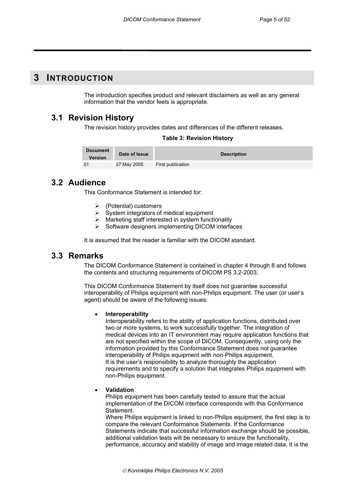## **3 INTRODUCTION**

The introduction specifies product and relevant disclaimers as well as any general information that the vendor feels is appropriate.

## **3.1 Revision History**

The revision history provides dates and differences of the different releases.

#### **Table 3: Revision History**

| Document<br><b>Version</b> | Date of Issue | <b>Description</b> |
|----------------------------|---------------|--------------------|
|                            | 27 May 2005   | First publication  |

## **3.2 Audience**

This Conformance Statement is intended for:

- ¾ (Potential) customers
- System integrators of medical equipment
- Marketing staff interested in system functionality
- ¾ Software designers implementing DICOM interfaces

It is assumed that the reader is familiar with the DICOM standard.

## **3.3 Remarks**

The DICOM Conformance Statement is contained in chapter 4 through 8 and follows the contents and structuring requirements of DICOM PS 3.2-2003.

This DICOM Conformance Statement by itself does not guarantee successful interoperability of Philips equipment with non-Philips equipment. The user (or user's agent) should be aware of the following issues:

#### • **Interoperability**

Interoperability refers to the ability of application functions, distributed over two or more systems, to work successfully together. The integration of medical devices into an IT environment may require application functions that are not specified within the scope of DICOM. Consequently, using only the information provided by this Conformance Statement does not guarantee interoperability of Philips equipment with non-Philips equipment. It is the user's responsibility to analyze thoroughly the application requirements and to specify a solution that integrates Philips equipment with non-Philips equipment.

#### • **Validation**

Philips equipment has been carefully tested to assure that the actual implementation of the DICOM interface corresponds with this Conformance Statement.

Where Philips equipment is linked to non-Philips equipment, the first step is to compare the relevant Conformance Statements. If the Conformance Statements indicate that successful information exchange should be possible, additional validation tests will be necessary to ensure the functionality, performance, accuracy and stability of image and image related data. It is the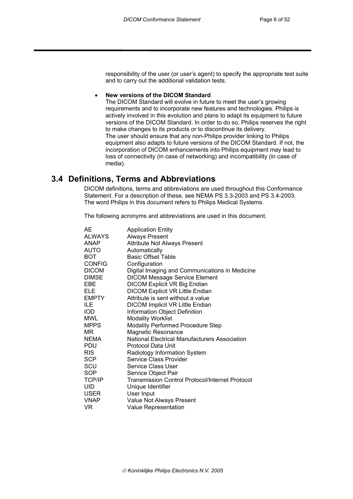responsibility of the user (or user's agent) to specify the appropriate test suite and to carry out the additional validation tests.

#### • **New versions of the DICOM Standard**

The DICOM Standard will evolve in future to meet the user's growing requirements and to incorporate new features and technologies. Philips is actively involved in this evolution and plans to adapt its equipment to future versions of the DICOM Standard. In order to do so, Philips reserves the right to make changes to its products or to discontinue its delivery. The user should ensure that any non-Philips provider linking to Philips equipment also adapts to future versions of the DICOM Standard. If not, the incorporation of DICOM enhancements into Philips equipment may lead to loss of connectivity (in case of networking) and incompatibility (in case of media).

## **3.4 Definitions, Terms and Abbreviations**

DICOM definitions, terms and abbreviations are used throughout this Conformance Statement. For a description of these, see NEMA PS 3.3-2003 and PS 3.4-2003. The word Philips in this document refers to Philips Medical Systems.

The following acronyms and abbreviations are used in this document.

| AF            | <b>Application Entity</b>                       |
|---------------|-------------------------------------------------|
| <b>ALWAYS</b> | <b>Always Present</b>                           |
| <b>ANAP</b>   | <b>Attribute Not Always Present</b>             |
| <b>AUTO</b>   | Automatically                                   |
| <b>BOT</b>    | <b>Basic Offset Table</b>                       |
| <b>CONFIG</b> | Configuration                                   |
| <b>DICOM</b>  | Digital Imaging and Communications in Medicine  |
| <b>DIMSE</b>  | <b>DICOM Message Service Element</b>            |
| EBE           | <b>DICOM Explicit VR Big Endian</b>             |
| ELE           | DICOM Explicit VR Little Endian                 |
| <b>EMPTY</b>  | Attribute is sent without a value               |
| ILE.          | <b>DICOM Implicit VR Little Endian</b>          |
| <b>IOD</b>    | Information Object Definition                   |
| MWL           | <b>Modality Worklist</b>                        |
| <b>MPPS</b>   | Modality Performed Procedure Step               |
| MR            | <b>Magnetic Resonance</b>                       |
| <b>NEMA</b>   | National Electrical Manufacturers Association   |
| PDU           | Protocol Data Unit                              |
| <b>RIS</b>    | Radiology Information System                    |
| <b>SCP</b>    | Service Class Provider                          |
| SCU           | Service Class User                              |
| <b>SOP</b>    | Service Object Pair                             |
| <b>TCP/IP</b> | Transmission Control Protocol/Internet Protocol |
| UID           | Unique Identifier                               |
| <b>USER</b>   | User Input                                      |
| <b>VNAP</b>   | Value Not Always Present                        |
| VR.           | <b>Value Representation</b>                     |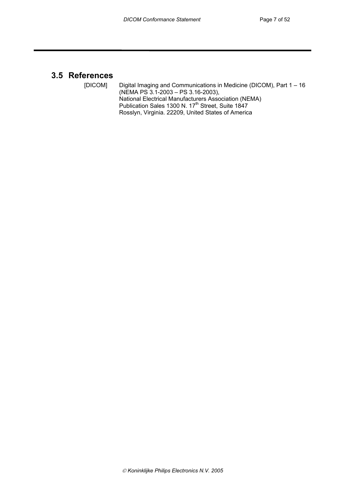## **3.5 References**

[DICOM] Digital Imaging and Communications in Medicine (DICOM), Part 1 – 16 (NEMA PS 3.1-2003 – PS 3.16-2003), National Electrical Manufacturers Association (NEMA) Publication Sales 1300 N. 17<sup>th</sup> Street, Suite 1847 Rosslyn, Virginia. 22209, United States of America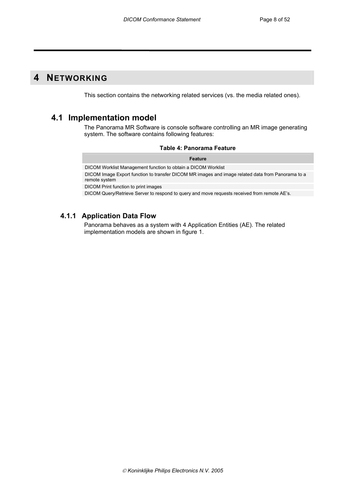# **4 NETWORKING**

This section contains the networking related services (vs. the media related ones).

## **4.1 Implementation model**

The Panorama MR Software is console software controlling an MR image generating system. The software contains following features:

|  |  | Table 4: Panorama Feature |  |
|--|--|---------------------------|--|
|--|--|---------------------------|--|

**Feature**  DICOM Worklist Management function to obtain a DICOM Worklist DICOM Image Export function to transfer DICOM MR images and image related data from Panorama to a remote system DICOM Print function to print images

DICOM Query/Retrieve Server to respond to query and move requests received from remote AE's.

## **4.1.1 Application Data Flow**

Panorama behaves as a system with 4 Application Entities (AE). The related implementation models are shown in figure 1.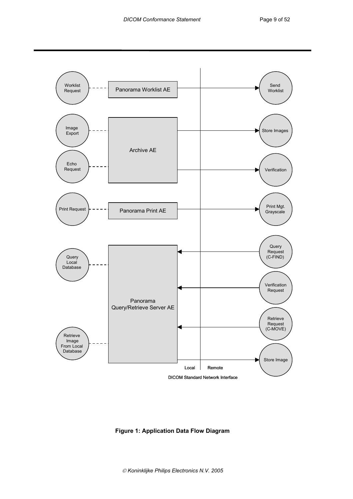

**Figure 1: Application Data Flow Diagram**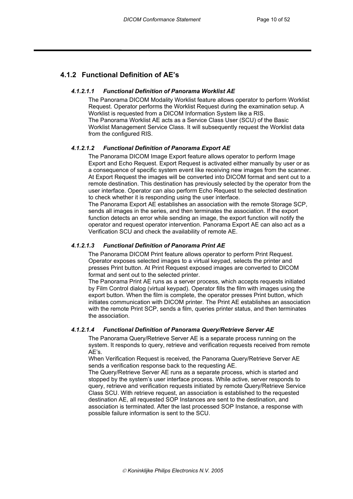## **4.1.2 Functional Definition of AE's**

#### *4.1.2.1.1 Functional Definition of Panorama Worklist AE*

The Panorama DICOM Modality Worklist feature allows operator to perform Worklist Request. Operator performs the Worklist Request during the examination setup. A Worklist is requested from a DICOM Information System like a RIS. The Panorama Worklist AE acts as a Service Class User (SCU) of the Basic Worklist Management Service Class. It will subsequently request the Worklist data from the configured RIS.

#### *4.1.2.1.2 Functional Definition of Panorama Export AE*

The Panorama DICOM Image Export feature allows operator to perform Image Export and Echo Request. Export Request is activated either manually by user or as a consequence of specific system event like receiving new images from the scanner. At Export Request the images will be converted into DICOM format and sent out to a remote destination. This destination has previously selected by the operator from the user interface. Operator can also perform Echo Request to the selected destination to check whether it is responding using the user interface.

The Panorama Export AE establishes an association with the remote Storage SCP, sends all images in the series, and then terminates the association. If the export function detects an error while sending an image, the export function will notify the operator and request operator intervention. Panorama Export AE can also act as a Verification SCU and check the availability of remote AE.

#### *4.1.2.1.3 Functional Definition of Panorama Print AE*

The Panorama DICOM Print feature allows operator to perform Print Request. Operator exposes selected images to a virtual keypad, selects the printer and presses Print button. At Print Request exposed images are converted to DICOM format and sent out to the selected printer.

The Panorama Print AE runs as a server process, which accepts requests initiated by Film Control dialog (virtual keypad). Operator fills the film with images using the export button. When the film is complete, the operator presses Print button, which initiates communication with DICOM printer. The Print AE establishes an association with the remote Print SCP, sends a film, queries printer status, and then terminates the association.

#### *4.1.2.1.4 Functional Definition of Panorama Query/Retrieve Server AE*

The Panorama Query/Retrieve Server AE is a separate process running on the system. It responds to query, retrieve and verification requests received from remote AE's.

When Verification Request is received, the Panorama Query/Retrieve Server AE sends a verification response back to the requesting AE.

The Query/Retrieve Server AE runs as a separate process, which is started and stopped by the system's user interface process. While active, server responds to query, retrieve and verification requests initiated by remote Query/Retrieve Service Class SCU. With retrieve request, an association is established to the requested destination AE, all requested SOP Instances are sent to the destination, and association is terminated. After the last processed SOP Instance, a response with possible failure information is sent to the SCU.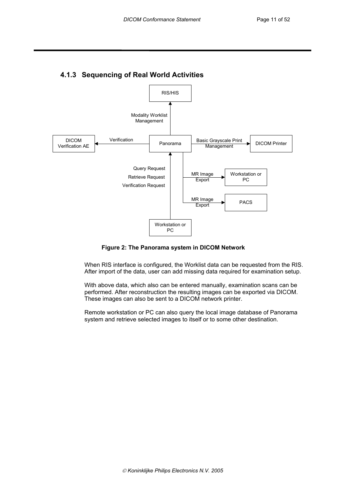

## **4.1.3 Sequencing of Real World Activities**

#### **Figure 2: The Panorama system in DICOM Network**

When RIS interface is configured, the Worklist data can be requested from the RIS. After import of the data, user can add missing data required for examination setup.

With above data, which also can be entered manually, examination scans can be performed. After reconstruction the resulting images can be exported via DICOM. These images can also be sent to a DICOM network printer.

Remote workstation or PC can also query the local image database of Panorama system and retrieve selected images to itself or to some other destination.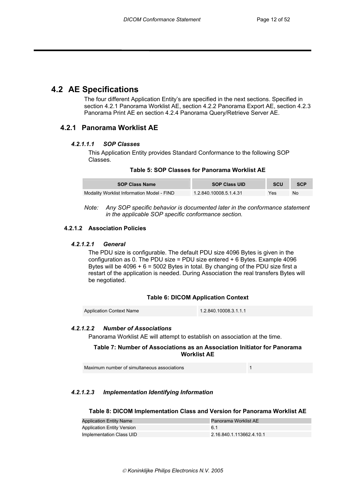## **4.2 AE Specifications**

The four different Application Entity's are specified in the next sections. Specified in section 4.2.1 Panorama Worklist AE, section 4.2.2 Panorama Export AE, section 4.2.3 Panorama Print AE en section 4.2.4 Panorama Query/Retrieve Server AE.

## **4.2.1 Panorama Worklist AE**

#### *4.2.1.1.1 SOP Classes*

This Application Entity provides Standard Conformance to the following SOP Classes.

#### **Table 5: SOP Classes for Panorama Worklist AE**

| <b>SOP Class Name</b>                      | <b>SOP Class UID</b>   | <b>SCU</b> | <b>SCP</b> |
|--------------------------------------------|------------------------|------------|------------|
| Modality Worklist Information Model - FIND | 1.2.840.10008.5.1.4.31 | Yes        | No         |

*Note: Any SOP specific behavior is documented later in the conformance statement in the applicable SOP specific conformance section.* 

#### **4.2.1.2 Association Policies**

#### *4.2.1.2.1 General*

The PDU size is configurable. The default PDU size 4096 Bytes is given in the configuration as 0. The PDU size = PDU size entered  $+6$  Bytes. Example 4096 Bytes will be 4096 + 6 = 5002 Bytes in total. By changing of the PDU size first a restart of the application is needed. During Association the real transfers Bytes will be negotiated.

#### **Table 6: DICOM Application Context**

Application Context Name 1.2.840.10008.3.1.1.1

#### *4.2.1.2.2 Number of Associations*

Panorama Worklist AE will attempt to establish on association at the time.

#### **Table 7: Number of Associations as an Association Initiator for Panorama Worklist AE**

Maximum number of simultaneous associations 1

#### *4.2.1.2.3 Implementation Identifying Information*

#### **Table 8: DICOM Implementation Class and Version for Panorama Worklist AE**

| <b>Application Entity Name</b>    | Panorama Worklist AE     |
|-----------------------------------|--------------------------|
| <b>Application Entity Version</b> | 6.1                      |
| Implementation Class UID          | 2.16.840.1.113662.4.10.1 |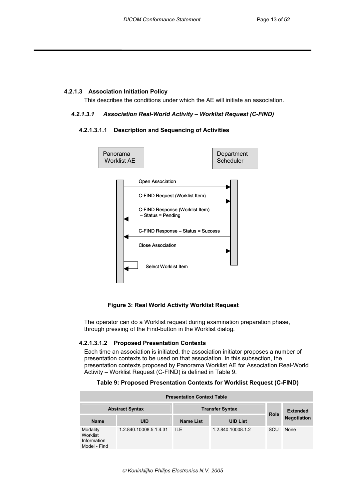## **4.2.1.3 Association Initiation Policy**

This describes the conditions under which the AE will initiate an association.

#### *4.2.1.3.1 Association Real-World Activity – Worklist Request (C-FIND)*

#### **4.2.1.3.1.1 Description and Sequencing of Activities**



 **Figure 3: Real World Activity Worklist Request** 

The operator can do a Worklist request during examination preparation phase, through pressing of the Find-button in the Worklist dialog.

#### **4.2.1.3.1.2 Proposed Presentation Contexts**

Each time an association is initiated, the association initiator proposes a number of presentation contexts to be used on that association. In this subsection, the presentation contexts proposed by Panorama Worklist AE for Association Real-World Activity – Worklist Request (C-FIND) is defined in Table 9.

#### **Table 9: Proposed Presentation Contexts for Worklist Request (C-FIND)**

| <b>Presentation Context Table</b>                   |                        |                        |                   |             |                    |
|-----------------------------------------------------|------------------------|------------------------|-------------------|-------------|--------------------|
|                                                     | <b>Abstract Syntax</b> | <b>Transfer Syntax</b> |                   | <b>Role</b> | <b>Extended</b>    |
| <b>Name</b>                                         | <b>UID</b>             | <b>Name List</b>       | <b>UID List</b>   |             | <b>Negotiation</b> |
| Modality<br>Worklist<br>Information<br>Model - Find | 1.2.840.10008.5.1.4.31 | $I\!I$ F               | 1.2.840.10008.1.2 | <b>SCU</b>  | None               |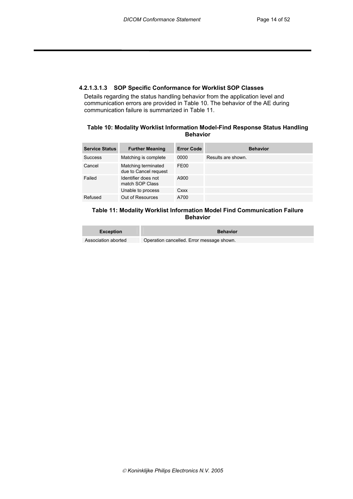#### **4.2.1.3.1.3 SOP Specific Conformance for Worklist SOP Classes**

Details regarding the status handling behavior from the application level and communication errors are provided in Table 10. The behavior of the AE during communication failure is summarized in Table 11.

#### **Table 10: Modality Worklist Information Model-Find Response Status Handling Behavior**

| <b>Service Status</b> | <b>Further Meaning</b>                       | <b>Error Code</b> | <b>Behavior</b>    |
|-----------------------|----------------------------------------------|-------------------|--------------------|
| <b>Success</b>        | Matching is complete                         | 0000              | Results are shown. |
| Cancel                | Matching terminated<br>due to Cancel request | <b>FE00</b>       |                    |
| Failed                | Identifier does not<br>match SOP Class       | A900              |                    |
|                       | Unable to process                            | Cxxx              |                    |
| Refused               | Out of Resources                             | A700              |                    |

#### **Table 11: Modality Worklist Information Model Find Communication Failure Behavior**

| Exception           | <b>Behavior</b>                           |
|---------------------|-------------------------------------------|
| Association aborted | Operation cancelled. Error message shown. |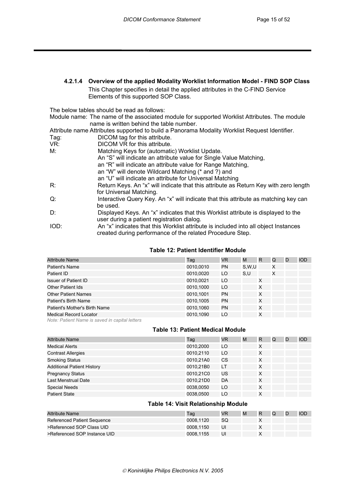## **4.2.1.4 Overview of the applied Modality Worklist Information Model - FIND SOP Class**

This Chapter specifies in detail the applied attributes in the C-FIND Service Elements of this supported SOP Class.

The below tables should be read as follows:

Module name: The name of the associated module for supported Worklist Attributes. The module name is written behind the table number.

Attribute name Attributes supported to build a Panorama Modality Worklist Request Identifier.

Tag: DICOM tag for this attribute. VR: DICOM VR for this attribute. M: Matching Keys for (automatic) Worklist Update. An "S" will indicate an attribute value for Single Value Matching, an "R" will indicate an attribute value for Range Matching, an "W" will denote Wildcard Matching (\* and ?) and an "U" will indicate an attribute for Universal Matching R: Return Keys. An "x" will indicate that this attribute as Return Key with zero length for Universal Matching. Q: Interactive Query Key. An "x" will indicate that this attribute as matching key can be used. D: Displayed Keys. An "x" indicates that this Worklist attribute is displayed to the user during a patient registration dialog. IOD: An "x" indicates that this Worklist attribute is included into all object Instances

created during performance of the related Procedure Step.

#### **Table 12: Patient Identifier Module**

| <b>Attribute Name</b>                          | Tag       | <b>VR</b> | M     | R | Q | D | <b>IOD</b> |
|------------------------------------------------|-----------|-----------|-------|---|---|---|------------|
| Patient's Name                                 | 0010,0010 | PN        | S.W.U |   | X |   |            |
| Patient ID                                     | 0010,0020 | LO        | S.U   |   | X |   |            |
| <b>Issuer of Patient ID</b>                    | 0010,0021 | LO        |       | X |   |   |            |
| <b>Other Patient Ids</b>                       | 0010,1000 | LO        |       | X |   |   |            |
| <b>Other Patient Names</b>                     | 0010,1001 | PN        |       | X |   |   |            |
| Patient's Birth Name                           | 0010,1005 | <b>PN</b> |       | X |   |   |            |
| Patient's Mother's Birth Name                  | 0010,1060 | <b>PN</b> |       | X |   |   |            |
| <b>Medical Record Locator</b>                  | 0010.1090 | LO        |       | X |   |   |            |
| Note: Patient Name is saved in capital letters |           |           |       |   |   |   |            |

#### **Table 13: Patient Medical Module**

| <b>Attribute Name</b>             | Taq       | <b>VR</b> | M | R | Q | D | <b>IOD</b> |
|-----------------------------------|-----------|-----------|---|---|---|---|------------|
| <b>Medical Alerts</b>             | 0010,2000 | LO        |   | X |   |   |            |
| <b>Contrast Allergies</b>         | 0010,2110 | LO        |   | X |   |   |            |
| <b>Smoking Status</b>             | 0010,21A0 | CS        |   | X |   |   |            |
| <b>Additional Patient History</b> | 0010,21B0 | LT        |   | X |   |   |            |
| <b>Pregnancy Status</b>           | 0010,21C0 | US        |   | X |   |   |            |
| Last Menstrual Date               | 0010.21D0 | DA        |   | X |   |   |            |
| <b>Special Needs</b>              | 0038,0050 | LO        |   | X |   |   |            |
| <b>Patient State</b>              | 0038,0500 | LO        |   | X |   |   |            |

#### **Table 14: Visit Relationship Module**

| Attribute Name               | Taɑ       | <b>VR</b> | M | R | Q | D | <b>IOD</b> |
|------------------------------|-----------|-----------|---|---|---|---|------------|
| Referenced Patient Sequence  | 0008.1120 | <b>SQ</b> |   |   |   |   |            |
| >Referenced SOP Class UID    | 0008.1150 | UI        |   |   |   |   |            |
| >Referenced SOP Instance UID | 0008.1155 | UI        |   |   |   |   |            |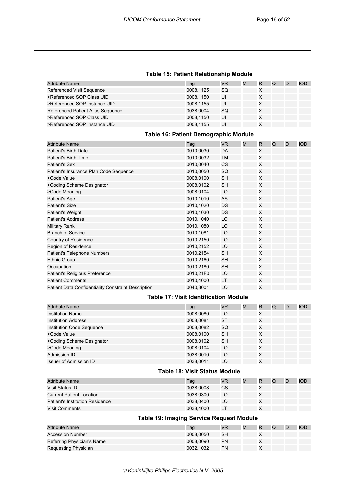#### **Table 15: Patient Relationship Module**

| <b>Attribute Name</b>             | Taq       | VR | M | R | Q | D | IOD |
|-----------------------------------|-----------|----|---|---|---|---|-----|
| Referenced Visit Sequence         | 0008,1125 | SQ |   | х |   |   |     |
| >Referenced SOP Class UID         | 0008.1150 | UI |   | X |   |   |     |
| >Referenced SOP Instance UID      | 0008.1155 | UI |   | х |   |   |     |
| Referenced Patient Alias Sequence | 0038.0004 | SQ |   | Χ |   |   |     |
| >Referenced SOP Class UID         | 0008.1150 | UI |   | Χ |   |   |     |
| >Referenced SOP Instance UID      | 0008,1155 | UI |   | Χ |   |   |     |

## **Table 16: Patient Demographic Module**

| <b>Attribute Name</b>                               | Tag       | <b>VR</b> | M | R | Q | D | <b>IOD</b> |
|-----------------------------------------------------|-----------|-----------|---|---|---|---|------------|
| Patient's Birth Date                                | 0010,0030 | DA        |   | X |   |   |            |
| Patient's Birth Time                                | 0010,0032 | ТM        |   | X |   |   |            |
| Patient's Sex                                       | 0010,0040 | CS        |   | X |   |   |            |
| Patient's Insurance Plan Code Sequence              | 0010,0050 | SQ        |   | X |   |   |            |
| >Code Value                                         | 0008,0100 | <b>SH</b> |   | X |   |   |            |
| >Coding Scheme Designator                           | 0008,0102 | <b>SH</b> |   | X |   |   |            |
| >Code Meaning                                       | 0008,0104 | LO        |   | X |   |   |            |
| Patient's Age                                       | 0010,1010 | AS        |   | X |   |   |            |
| Patient's Size                                      | 0010,1020 | DS        |   | X |   |   |            |
| Patient's Weight                                    | 0010,1030 | <b>DS</b> |   | X |   |   |            |
| <b>Patient's Address</b>                            | 0010,1040 | LO        |   | X |   |   |            |
| Military Rank                                       | 0010,1080 | LO        |   | X |   |   |            |
| <b>Branch of Service</b>                            | 0010,1081 | LO        |   | X |   |   |            |
| Country of Residence                                | 0010,2150 | LO        |   | X |   |   |            |
| Region of Residence                                 | 0010,2152 | LO        |   | X |   |   |            |
| Patient's Telephone Numbers                         | 0010,2154 | <b>SH</b> |   | X |   |   |            |
| <b>Ethnic Group</b>                                 | 0010,2160 | <b>SH</b> |   | X |   |   |            |
| Occupation                                          | 0010,2180 | <b>SH</b> |   | X |   |   |            |
| Patient's Religious Preference                      | 0010,21F0 | LO        |   | X |   |   |            |
| <b>Patient Comments</b>                             | 0010,4000 | LT        |   | X |   |   |            |
| Patient Data Confidentiality Constraint Description | 0040,3001 | LO        |   | X |   |   |            |

## **Table 17: Visit Identification Module**

| <b>Attribute Name</b>            | Taq       | <b>VR</b> | M | R | Q | D | <b>IOD</b> |
|----------------------------------|-----------|-----------|---|---|---|---|------------|
| <b>Institution Name</b>          | 0008,0080 | LO        |   | X |   |   |            |
| <b>Institution Address</b>       | 0008,0081 | <b>ST</b> |   | X |   |   |            |
| <b>Institution Code Sequence</b> | 0008,0082 | SQ        |   | X |   |   |            |
| >Code Value                      | 0008.0100 | <b>SH</b> |   | X |   |   |            |
| >Coding Scheme Designator        | 0008.0102 | <b>SH</b> |   | X |   |   |            |
| >Code Meaning                    | 0008.0104 | LO        |   | x |   |   |            |
| Admission ID                     | 0038,0010 | LO        |   | X |   |   |            |
| <b>Issuer of Admission ID</b>    | 0038.0011 | LO        |   | X |   |   |            |

#### **Table 18: Visit Status Module**

| <b>Attribute Name</b>           | Taq       | <b>VR</b> | M | R | Q | <b>IOD</b> |
|---------------------------------|-----------|-----------|---|---|---|------------|
| Visit Status ID                 | 0038.0008 | CS        |   |   |   |            |
| <b>Current Patient Location</b> | 0038.0300 | LO        |   |   |   |            |
| Patient's Institution Residence | 0038.0400 | LO        |   |   |   |            |
| <b>Visit Comments</b>           | 0038.4000 |           |   |   |   |            |

## **Table 19: Imaging Service Request Module**

| <b>Attribute Name</b>      | Taq       | <b>VR</b> | M | R | Q | <b>IOD</b> |
|----------------------------|-----------|-----------|---|---|---|------------|
| Accession Number           | 0008.0050 | SН        |   |   |   |            |
| Referring Physician's Name | 0008.0090 | PN        |   |   |   |            |
| Requesting Physician       | 0032.1032 | PN        |   |   |   |            |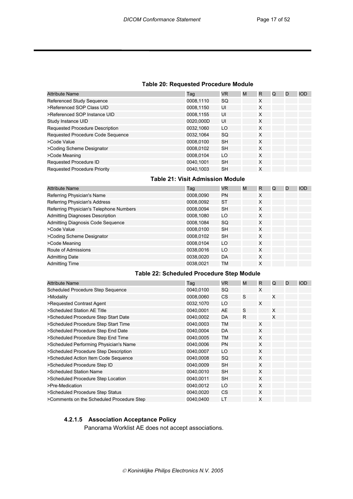#### **Table 20: Requested Procedure Module**

| <b>Attribute Name</b>               | Tag       | VR        | M | R | Q | D | <b>IOD</b> |
|-------------------------------------|-----------|-----------|---|---|---|---|------------|
| Referenced Study Sequence           | 0008,1110 | SQ        |   | X |   |   |            |
| >Referenced SOP Class UID           | 0008,1150 | UI        |   | X |   |   |            |
| >Referenced SOP Instance UID        | 0008,1155 | UI        |   | X |   |   |            |
| Study Instance UID                  | 0020,000D | UI        |   | X |   |   |            |
| Requested Procedure Description     | 0032,1060 | LO        |   | X |   |   |            |
| Requested Procedure Code Sequence   | 0032,1064 | <b>SQ</b> |   | X |   |   |            |
| >Code Value                         | 0008,0100 | <b>SH</b> |   | X |   |   |            |
| >Coding Scheme Designator           | 0008,0102 | <b>SH</b> |   | X |   |   |            |
| >Code Meaning                       | 0008,0104 | LO        |   | X |   |   |            |
| Requested Procedure ID              | 0040,1001 | <b>SH</b> |   | X |   |   |            |
| <b>Requested Procedure Priority</b> | 0040,1003 | <b>SH</b> |   | X |   |   |            |

#### **Table 21: Visit Admission Module**

| <b>Attribute Name</b>                   | Tag       | <b>VR</b> | M | R | Q | D | <b>IOD</b> |
|-----------------------------------------|-----------|-----------|---|---|---|---|------------|
| Referring Physician's Name              | 0008,0090 | <b>PN</b> |   | X |   |   |            |
| Referring Physician's Address           | 0008,0092 | <b>ST</b> |   | X |   |   |            |
| Referring Physician's Telephone Numbers | 0008,0094 | <b>SH</b> |   | X |   |   |            |
| <b>Admitting Diagnoses Description</b>  | 0008,1080 | LO        |   | X |   |   |            |
| Admitting Diagnosis Code Sequence       | 0008,1084 | <b>SQ</b> |   | X |   |   |            |
| >Code Value                             | 0008,0100 | <b>SH</b> |   | X |   |   |            |
| >Coding Scheme Designator               | 0008,0102 | <b>SH</b> |   | X |   |   |            |
| >Code Meaning                           | 0008,0104 | LO        |   | X |   |   |            |
| Route of Admissions                     | 0038,0016 | LO        |   | X |   |   |            |
| <b>Admitting Date</b>                   | 0038.0020 | DA        |   | X |   |   |            |
| <b>Admitting Time</b>                   | 0038,0021 | <b>TM</b> |   | X |   |   |            |

#### **Table 22: Scheduled Procedure Step Module**

| <b>Attribute Name</b>                     | Taq       | <b>VR</b> | M  | R | Q | D | <b>IOD</b> |
|-------------------------------------------|-----------|-----------|----|---|---|---|------------|
| Scheduled Procedure Step Sequence         | 0040,0100 | SQ        |    | X |   |   |            |
| >Modality                                 | 0008,0060 | CS        | S  |   | X |   |            |
| >Requested Contrast Agent                 | 0032,1070 | LO        |    | X |   |   |            |
| >Scheduled Station AE Title               | 0040,0001 | AE        | S  |   | X |   |            |
| >Scheduled Procedure Step Start Date      | 0040,0002 | DA        | R. |   | X |   |            |
| >Scheduled Procedure Step Start Time      | 0040,0003 | <b>TM</b> |    | X |   |   |            |
| >Scheduled Procedure Step End Date        | 0040,0004 | DA        |    | X |   |   |            |
| >Scheduled Procedure Step End Time        | 0040,0005 | TM        |    | X |   |   |            |
| >Scheduled Performing Physician's Name    | 0040,0006 | <b>PN</b> |    | X |   |   |            |
| >Scheduled Procedure Step Description     | 0040,0007 | LO        |    | X |   |   |            |
| >Scheduled Action Item Code Sequence      | 0040,0008 | SQ        |    | X |   |   |            |
| >Scheduled Procedure Step ID              | 0040,0009 | <b>SH</b> |    | X |   |   |            |
| >Scheduled Station Name                   | 0040,0010 | <b>SH</b> |    | X |   |   |            |
| >Scheduled Procedure Step Location        | 0040,0011 | <b>SH</b> |    | X |   |   |            |
| >Pre-Medication                           | 0040,0012 | LO        |    | X |   |   |            |
| >Scheduled Procedure Step Status          | 0040,0020 | <b>CS</b> |    | X |   |   |            |
| >Comments on the Scheduled Procedure Step | 0040,0400 | LT        |    | X |   |   |            |

## **4.2.1.5 Association Acceptance Policy**

Panorama Worklist AE does not accept associations.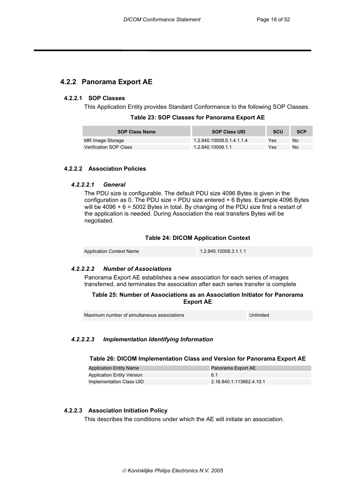## **4.2.2 Panorama Export AE**

#### **4.2.2.1 SOP Classes**

This Application Entity provides Standard Conformance to the following SOP Classes.

| Table 23: SOP Classes for Panorama Export AE |  |
|----------------------------------------------|--|
|----------------------------------------------|--|

| <b>SOP Class Name</b>  | <b>SOP Class UID</b>      | <b>SCU</b> | <b>SCP</b> |
|------------------------|---------------------------|------------|------------|
| MR Image Storage       | 1.2.840.10008.5.1.4.1.1.4 | Yes        | No         |
| Verification SOP Class | 1.2.840.10008.1.1         | Yes        | No         |

#### **4.2.2.2 Association Policies**

#### *4.2.2.2.1 General*

The PDU size is configurable. The default PDU size 4096 Bytes is given in the configuration as 0. The PDU size = PDU size entered  $+6$  Bytes. Example 4096 Bytes will be  $4096 + 6 = 5002$  Bytes in total. By changing of the PDU size first a restart of the application is needed. During Association the real transfers Bytes will be negotiated.

#### **Table 24: DICOM Application Context**

| <b>Application Context Name</b> | 1.2.840.10008.3.1.1.1 |
|---------------------------------|-----------------------|
|---------------------------------|-----------------------|

#### *4.2.2.2.2 Number of Associations*

Panorama Export AE establishes a new association for each series of images transferred, and terminates the association after each series transfer is complete

#### **Table 25: Number of Associations as an Association Initiator for Panorama Export AE**

Maximum number of simultaneous associations **Internal Constanting Construction** Unlimited

#### *4.2.2.2.3 Implementation Identifying Information*

#### **Table 26: DICOM Implementation Class and Version for Panorama Export AE**

| <b>Application Entity Name</b>    | Panorama Export AE       |
|-----------------------------------|--------------------------|
| <b>Application Entity Version</b> | 6.1                      |
| Implementation Class UID          | 2.16.840.1.113662.4.10.1 |

#### **4.2.2.3 Association Initiation Policy**

This describes the conditions under which the AE will initiate an association.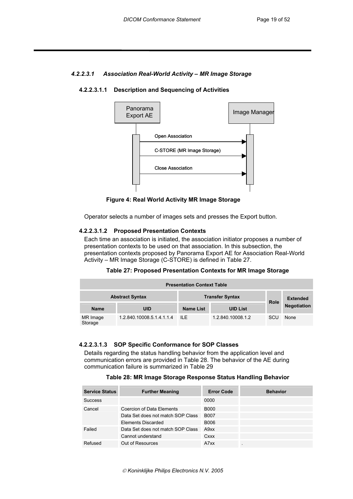#### *4.2.2.3.1 Association Real-World Activity – MR Image Storage*

#### **4.2.2.3.1.1 Description and Sequencing of Activities**



 **Figure 4: Real World Activity MR Image Storage** 

Operator selects a number of images sets and presses the Export button.

#### **4.2.2.3.1.2 Proposed Presentation Contexts**

Each time an association is initiated, the association initiator proposes a number of presentation contexts to be used on that association. In this subsection, the presentation contexts proposed by Panorama Export AE for Association Real-World Activity – MR Image Storage (C-STORE) is defined in Table 27.

| Table 27: Proposed Presentation Contexts for MR Image Storage |  |  |  |  |
|---------------------------------------------------------------|--|--|--|--|
|---------------------------------------------------------------|--|--|--|--|

| <b>Presentation Context Table</b> |                           |           |                        |             |                    |  |
|-----------------------------------|---------------------------|-----------|------------------------|-------------|--------------------|--|
|                                   | <b>Abstract Syntax</b>    |           | <b>Transfer Syntax</b> | <b>Role</b> | <b>Extended</b>    |  |
| <b>Name</b>                       | UID                       | Name List | <b>UID List</b>        |             | <b>Negotiation</b> |  |
| MR Image<br>Storage               | 1.2.840.10008.5.1.4.1.1.4 | -ll F     | 1.2.840.10008.1.2      | SCU         | None               |  |

#### **4.2.2.3.1.3 SOP Specific Conformance for SOP Classes**

Details regarding the status handling behavior from the application level and communication errors are provided in Table 28. The behavior of the AE during communication failure is summarized in Table 29

|  | Table 28: MR Image Storage Response Status Handling Behavior |  |  |  |  |
|--|--------------------------------------------------------------|--|--|--|--|
|--|--------------------------------------------------------------|--|--|--|--|

| <b>Service Status</b> | <b>Further Meaning</b>            | <b>Error Code</b> | <b>Behavior</b>          |
|-----------------------|-----------------------------------|-------------------|--------------------------|
| <b>Success</b>        |                                   | 0000              |                          |
| Cancel                | Coercion of Data Elements         | <b>B000</b>       |                          |
|                       | Data Set does not match SOP Class | <b>B007</b>       |                          |
|                       | Elements Discarded                | B006              |                          |
| Failed                | Data Set does not match SOP Class | A9xx              |                          |
|                       | Cannot understand                 | Cxxx              |                          |
| Refused               | Out of Resources                  | A7xx              | $\overline{\phantom{a}}$ |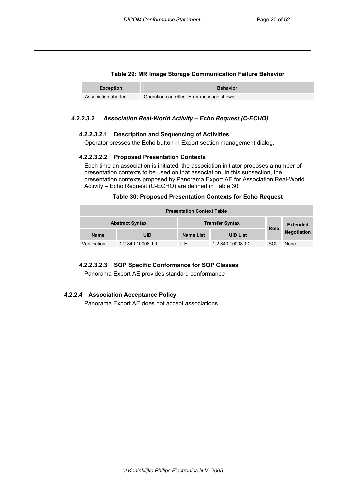## **Table 29: MR Image Storage Communication Failure Behavior**

| Exception           | <b>Behavior</b>                           |
|---------------------|-------------------------------------------|
| Association aborted | Operation cancelled. Error message shown. |

#### *4.2.2.3.2 Association Real-World Activity – Echo Request (C-ECHO)*

#### **4.2.2.3.2.1 Description and Sequencing of Activities**

Operator presses the Echo button in Export section management dialog.

#### **4.2.2.3.2.2 Proposed Presentation Contexts**

Each time an association is initiated, the association initiator proposes a number of presentation contexts to be used on that association. In this subsection, the presentation contexts proposed by Panorama Export AE for Association Real-World Activity – Echo Request (C-ECHO) are defined in Table 30

#### **Table 30: Proposed Presentation Contexts for Echo Request**

| <b>Presentation Context Table</b> |                        |                        |                   |             |                    |  |
|-----------------------------------|------------------------|------------------------|-------------------|-------------|--------------------|--|
|                                   | <b>Abstract Syntax</b> | <b>Transfer Syntax</b> |                   | <b>Role</b> | <b>Extended</b>    |  |
| <b>Name</b>                       | UID                    | <b>Name List</b>       | <b>UID List</b>   |             | <b>Negotiation</b> |  |
| Verification                      | 1.2.840.10008.1.1      | II F                   | 1.2.840.10008.1.2 | SCU         | None               |  |

#### **4.2.2.3.2.3 SOP Specific Conformance for SOP Classes**

Panorama Export AE provides standard conformance

#### **4.2.2.4 Association Acceptance Policy**

Panorama Export AE does not accept associations.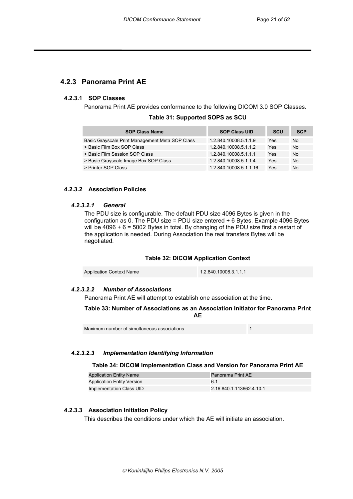## **4.2.3 Panorama Print AE**

#### **4.2.3.1 SOP Classes**

Panorama Print AE provides conformance to the following DICOM 3.0 SOP Classes.

|  |  |  |  | Table 31: Supported SOPS as SCU |
|--|--|--|--|---------------------------------|
|--|--|--|--|---------------------------------|

| <b>SOP Class Name</b>                           | <b>SOP Class UID</b>   | <b>SCU</b> | <b>SCP</b> |
|-------------------------------------------------|------------------------|------------|------------|
| Basic Grayscale Print Management Meta SOP Class | 1.2.840.10008.5.1.1.9  | Yes        | No         |
| > Basic Film Box SOP Class                      | 1.2.840.10008.5.1.1.2  | Yes        | No         |
| > Basic Film Session SOP Class                  | 1.2.840.10008.5.1.1.1  | Yes        | No         |
| > Basic Grayscale Image Box SOP Class           | 1.2.840.10008.5.1.1.4  | Yes        | No         |
| > Printer SOP Class                             | 1.2.840.10008.5.1.1.16 | Yes        | No         |

#### **4.2.3.2 Association Policies**

#### *4.2.3.2.1 General*

The PDU size is configurable. The default PDU size 4096 Bytes is given in the configuration as 0. The PDU size = PDU size entered  $+6$  Bytes. Example 4096 Bytes will be 4096 + 6 = 5002 Bytes in total. By changing of the PDU size first a restart of the application is needed. During Association the real transfers Bytes will be negotiated.

#### **Table 32: DICOM Application Context**

| <b>Application Context Name</b> | 1.2.840.10008.3.1.1.1 |
|---------------------------------|-----------------------|
|                                 |                       |

#### *4.2.3.2.2 Number of Associations*

Panorama Print AE will attempt to establish one association at the time.

#### **Table 33: Number of Associations as an Association Initiator for Panorama Print AE**

| Maximum number of simultaneous associations |  |
|---------------------------------------------|--|
|---------------------------------------------|--|

#### *4.2.3.2.3 Implementation Identifying Information*

#### **Table 34: DICOM Implementation Class and Version for Panorama Print AE**

| <b>Application Entity Name</b>    | Panorama Print AE        |
|-----------------------------------|--------------------------|
| <b>Application Entity Version</b> | 6.1                      |
| Implementation Class UID          | 2.16.840.1.113662.4.10.1 |

#### **4.2.3.3 Association Initiation Policy**

This describes the conditions under which the AE will initiate an association.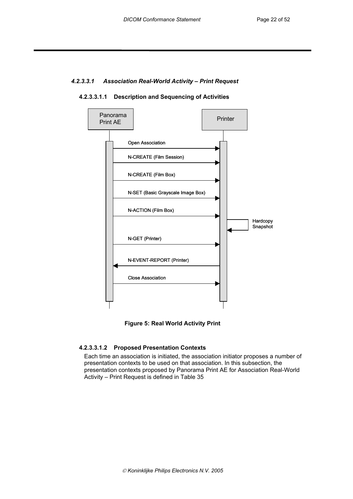## *4.2.3.3.1 Association Real-World Activity – Print Request*



**4.2.3.3.1.1 Description and Sequencing of Activities** 



#### **4.2.3.3.1.2 Proposed Presentation Contexts**

Each time an association is initiated, the association initiator proposes a number of presentation contexts to be used on that association. In this subsection, the presentation contexts proposed by Panorama Print AE for Association Real-World Activity – Print Request is defined in Table 35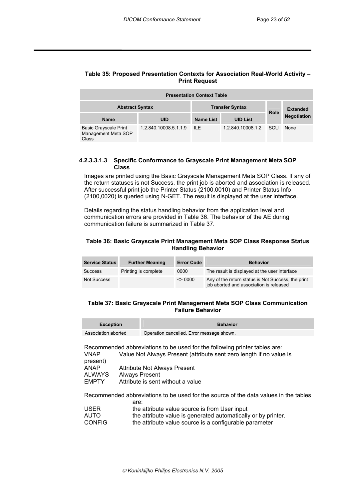#### **Table 35: Proposed Presentation Contexts for Association Real-World Activity – Print Request**

| <b>Presentation Context Table</b>                            |                       |                  |                        |             |                    |  |  |
|--------------------------------------------------------------|-----------------------|------------------|------------------------|-------------|--------------------|--|--|
| <b>Abstract Syntax</b>                                       |                       |                  | <b>Transfer Syntax</b> |             | <b>Extended</b>    |  |  |
| <b>Name</b>                                                  | <b>UID</b>            | <b>Name List</b> | <b>UID List</b>        | <b>Role</b> | <b>Negotiation</b> |  |  |
| <b>Basic Grayscale Print</b><br>Management Meta SOP<br>Class | 1.2.840.10008.5.1.1.9 | ILE.             | 1.2.840.10008.1.2      | SCU         | None               |  |  |

#### **4.2.3.3.1.3 Specific Conformance to Grayscale Print Management Meta SOP Class**

Images are printed using the Basic Grayscale Management Meta SOP Class. If any of the return statuses is not Success, the print job is aborted and association is released. After successful print job the Printer Status (2100,0010) and Printer Status Info (2100,0020) is queried using N-GET. The result is displayed at the user interface.

Details regarding the status handling behavior from the application level and communication errors are provided in Table 36. The behavior of the AE during communication failure is summarized in Table 37.

#### **Table 36: Basic Grayscale Print Management Meta SOP Class Response Status Handling Behavior**

| <b>Service Status</b> | <b>Further Meaning</b> | <b>Error Code</b> | <b>Behavior</b>                                                                               |
|-----------------------|------------------------|-------------------|-----------------------------------------------------------------------------------------------|
| <b>Success</b>        | Printing is complete   | 0000              | The result is displayed at the user interface                                                 |
| Not Success           |                        | $\leq$ 0000       | Any of the return status is Not Success, the print<br>job aborted and association is released |

#### **Table 37: Basic Grayscale Print Management Meta SOP Class Communication Failure Behavior**

| Exception           | <b>Behavior</b>                           |
|---------------------|-------------------------------------------|
| Association aborted | Operation cancelled. Error message shown. |

Recommended abbreviations to be used for the following printer tables are: VNAP Value Not Always Present (attribute sent zero length if no value is present) ANAP Attribute Not Always Present<br>ALWAYS Always Present ALWAYS Always Present<br>
FMPTY Attribute is sent Attribute is sent without a value

Recommended abbreviations to be used for the source of the data values in the tables

|               | are:                                                          |
|---------------|---------------------------------------------------------------|
| <b>USER</b>   | the attribute value source is from User input                 |
| AUTO          | the attribute value is generated automatically or by printer. |
| <b>CONFIG</b> | the attribute value source is a configurable parameter        |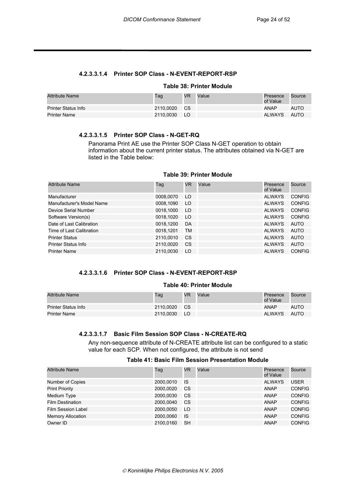#### **4.2.3.3.1.4 Printer SOP Class - N-EVENT-REPORT-RSP**

#### **Table 38: Printer Module**

| <b>Attribute Name</b> | Tag          | <b>VR</b> | Value | Presence<br>of Value | Source      |
|-----------------------|--------------|-----------|-------|----------------------|-------------|
| Printer Status Info   | 2110,0020 CS |           |       | <b>ANAP</b>          | <b>AUTO</b> |
| <b>Printer Name</b>   | 2110.0030    | <b>LO</b> |       | <b>ALWAYS</b>        | AUTO        |

#### **4.2.3.3.1.5 Printer SOP Class - N-GET-RQ**

Panorama Print AE use the Printer SOP Class N-GET operation to obtain information about the current printer status. The attributes obtained via N-GET are listed in the Table below:

#### **Table 39: Printer Module**

| <b>Attribute Name</b>      | Taq       | <b>VR</b> | Value | Presence<br>of Value | Source        |
|----------------------------|-----------|-----------|-------|----------------------|---------------|
| Manufacturer               | 0008,0070 | LO        |       | <b>ALWAYS</b>        | <b>CONFIG</b> |
| Manufacturer's Model Name  | 0008,1090 | LO        |       | <b>ALWAYS</b>        | <b>CONFIG</b> |
| Device Serial Number       | 0018,1000 | LO        |       | <b>ALWAYS</b>        | <b>CONFIG</b> |
| Software Version(s)        | 0018.1020 | LO        |       | <b>ALWAYS</b>        | <b>CONFIG</b> |
| Date of Last Calibration   | 0018,1200 | DA        |       | <b>ALWAYS</b>        | AUTO          |
| Time of Last Calibration   | 0018,1201 | TM        |       | <b>ALWAYS</b>        | AUTO          |
| <b>Printer Status</b>      | 2110,0010 | CS.       |       | <b>ALWAYS</b>        | AUTO          |
| <b>Printer Status Info</b> | 2110,0020 | CS.       |       | <b>ALWAYS</b>        | AUTO          |
| <b>Printer Name</b>        | 2110.0030 | LO        |       | <b>ALWAYS</b>        | <b>CONFIG</b> |

#### **4.2.3.3.1.6 Printer SOP Class - N-EVENT-REPORT-RSP**

#### **Table 40: Printer Module**

| Attribute Name             | Tag       | <b>VR</b> | Value | Presence<br>of Value | Source      |
|----------------------------|-----------|-----------|-------|----------------------|-------------|
| <b>Printer Status Info</b> | 2110.0020 | <b>CS</b> |       | <b>ANAP</b>          | <b>AUTO</b> |
| Printer Name               | 2110.0030 | - LO      |       | <b>ALWAYS</b>        | AUTO        |

#### **4.2.3.3.1.7 Basic Film Session SOP Class - N-CREATE-RQ**

Any non-sequence attribute of N-CREATE attribute list can be configured to a static value for each SCP. When not configured, the attribute is not send

#### **Table 41: Basic Film Session Presentation Module**

| <b>Attribute Name</b>    | Tag       | <b>VR</b> | Value | Presence<br>of Value | Source        |
|--------------------------|-----------|-----------|-------|----------------------|---------------|
| Number of Copies         | 2000.0010 | IS        |       | <b>ALWAYS</b>        | USER          |
| <b>Print Priority</b>    | 2000.0020 | CS.       |       | ANAP                 | <b>CONFIG</b> |
| Medium Type              | 2000.0030 | CS.       |       | ANAP                 | <b>CONFIG</b> |
| <b>Film Destination</b>  | 2000.0040 | CS.       |       | ANAP                 | <b>CONFIG</b> |
| Film Session Label       | 2000.0050 | LO        |       | <b>ANAP</b>          | <b>CONFIG</b> |
| <b>Memory Allocation</b> | 2000.0060 | IS        |       | ANAP                 | <b>CONFIG</b> |
| Owner ID                 | 2100.0160 | <b>SH</b> |       | <b>ANAP</b>          | <b>CONFIG</b> |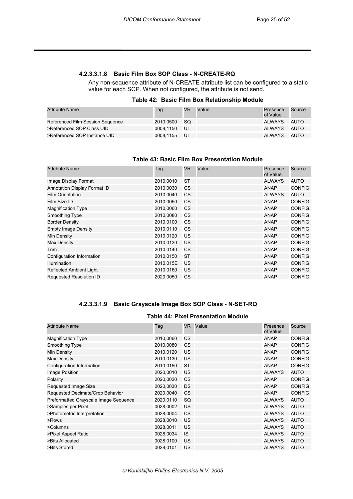#### **4.2.3.3.1.8 Basic Film Box SOP Class - N-CREATE-RQ**

Any non-sequence attribute of N-CREATE attribute list can be configured to a static value for each SCP. When not configured, the attribute is not send.

#### **Table 42: Basic Film Box Relationship Module**

| <b>Attribute Name</b>            | Tag          | VR.  | Value | Presence<br>of Value | Source |
|----------------------------------|--------------|------|-------|----------------------|--------|
| Referenced Film Session Sequence | 2010.0500    | - SQ |       | ALWAYS               | AUTO   |
| >Referenced SOP Class UID        | 0008.1150    | - UI |       | ALWAYS               | AUTO   |
| >Referenced SOP Instance UID     | 0008.1155 UI |      |       | ALWAYS               | AUTO   |

## **Table 43: Basic Film Box Presentation Module**

| <b>Attribute Name</b>               | Tag       | <b>VR</b> | Value | Presence<br>of Value | Source        |
|-------------------------------------|-----------|-----------|-------|----------------------|---------------|
| Image Display Format                | 2010,0010 | <b>ST</b> |       | <b>ALWAYS</b>        | <b>AUTO</b>   |
| <b>Annotation Display Format ID</b> | 2010,0030 | CS        |       | ANAP                 | <b>CONFIG</b> |
| <b>Film Orientation</b>             | 2010,0040 | <b>CS</b> |       | <b>ALWAYS</b>        | <b>AUTO</b>   |
| Film Size ID                        | 2010,0050 | CS        |       | <b>ANAP</b>          | <b>CONFIG</b> |
| <b>Magnification Type</b>           | 2010,0060 | <b>CS</b> |       | <b>ANAP</b>          | CONFIG.       |
| Smoothing Type                      | 2010,0080 | CS        |       | <b>ANAP</b>          | <b>CONFIG</b> |
| <b>Border Density</b>               | 2010,0100 | <b>CS</b> |       | ANAP                 | <b>CONFIG</b> |
| <b>Empty Image Density</b>          | 2010,0110 | CS        |       | <b>ANAP</b>          | <b>CONFIG</b> |
| Min Density                         | 2010,0120 | US        |       | <b>ANAP</b>          | <b>CONFIG</b> |
| <b>Max Density</b>                  | 2010,0130 | <b>US</b> |       | <b>ANAP</b>          | <b>CONFIG</b> |
| Trim                                | 2010,0140 | <b>CS</b> |       | <b>ANAP</b>          | <b>CONFIG</b> |
| Configuration Information           | 2010,0150 | <b>ST</b> |       | <b>ANAP</b>          | <b>CONFIG</b> |
| <b>Illumination</b>                 | 2010,015E | <b>US</b> |       | <b>ANAP</b>          | <b>CONFIG</b> |
| <b>Reflected Ambient Light</b>      | 2010,0160 | <b>US</b> |       | <b>ANAP</b>          | <b>CONFIG</b> |
| Requested Resolution ID             | 2020.0050 | CS        |       | <b>ANAP</b>          | <b>CONFIG</b> |

#### **4.2.3.3.1.9 Basic Grayscale Image Box SOP Class - N-SET-RQ**

#### **Table 44: Pixel Presentation Module**

| <b>Attribute Name</b>                 | Tag       | VR.       | Value | Presence<br>of Value | Source        |
|---------------------------------------|-----------|-----------|-------|----------------------|---------------|
| <b>Magnification Type</b>             | 2010,0060 | CS.       |       | <b>ANAP</b>          | <b>CONFIG</b> |
| Smoothing Type                        | 2010,0080 | <b>CS</b> |       | <b>ANAP</b>          | <b>CONFIG</b> |
| Min Density                           | 2010,0120 | US        |       | <b>ANAP</b>          | <b>CONFIG</b> |
| Max Density                           | 2010,0130 | US        |       | <b>ANAP</b>          | <b>CONFIG</b> |
| Configuration Information             | 2010,0150 | <b>ST</b> |       | <b>ANAP</b>          | <b>CONFIG</b> |
| Image Position                        | 2020,0010 | US        |       | <b>ALWAYS</b>        | <b>AUTO</b>   |
| Polarity                              | 2020,0020 | <b>CS</b> |       | <b>ANAP</b>          | <b>CONFIG</b> |
| Requested Image Size                  | 2020,0030 | <b>DS</b> |       | <b>ANAP</b>          | <b>CONFIG</b> |
| Requested Decimate/Crop Behavior      | 2020,0040 | <b>CS</b> |       | <b>ANAP</b>          | <b>CONFIG</b> |
| Preformatted Grayscale Image Sequence | 2020,0110 | <b>SQ</b> |       | <b>ALWAYS</b>        | <b>AUTO</b>   |
| >Samples per Pixel                    | 0028,0002 | US        |       | <b>ALWAYS</b>        | <b>AUTO</b>   |
| >Photometric Interpretation           | 0028,0004 | <b>CS</b> |       | <b>ALWAYS</b>        | <b>AUTO</b>   |
| >Rows                                 | 0028,0010 | <b>US</b> |       | <b>ALWAYS</b>        | <b>AUTO</b>   |
| >Columns                              | 0028,0011 | US        |       | <b>ALWAYS</b>        | <b>AUTO</b>   |
| >Pixel Aspect Ratio                   | 0028,0034 | <b>IS</b> |       | <b>ALWAYS</b>        | <b>AUTO</b>   |
| >Bits Allocated                       | 0028,0100 | US        |       | <b>ALWAYS</b>        | <b>AUTO</b>   |
| >Bits Stored                          | 0028,0101 | US        |       | <b>ALWAYS</b>        | <b>AUTO</b>   |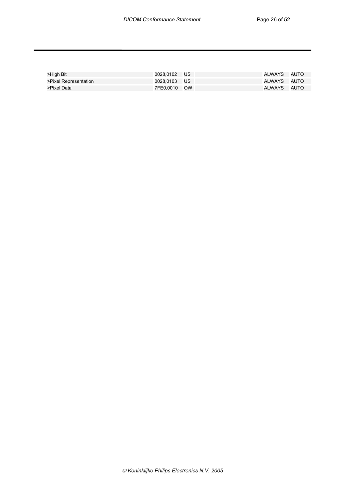| >High Bit             | 0028.0102 US | ALWAYS AUTO |  |
|-----------------------|--------------|-------------|--|
| >Pixel Representation | 0028.0103 US | ALWAYS AUTO |  |
| >Pixel Data           | 7FE0.0010 OW | ALWAYS AUTO |  |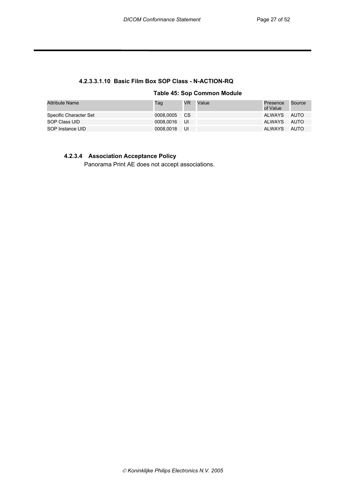## **4.2.3.3.1.10 Basic Film Box SOP Class - N-ACTION-RQ**

**Table 45: Sop Common Module** 

| <b>Attribute Name</b>  | Tag          | VR  | Value | Presence<br>of Value | Source |
|------------------------|--------------|-----|-------|----------------------|--------|
| Specific Character Set | 0008.0005 CS |     |       | ALWAYS AUTO          |        |
| SOP Class UID          | 0008.0016 UI |     |       | ALWAYS AUTO          |        |
| SOP Instance UID       | 0008.0018    | -UI |       | ALWAYS AUTO          |        |

#### **4.2.3.4 Association Acceptance Policy**

Panorama Print AE does not accept associations.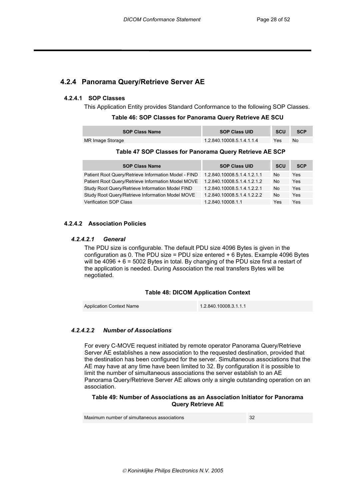## **4.2.4 Panorama Query/Retrieve Server AE**

#### **4.2.4.1 SOP Classes**

This Application Entity provides Standard Conformance to the following SOP Classes.

#### **Table 46: SOP Classes for Panorama Query Retrieve AE SCU**

| <b>SOP Class Name</b> | <b>SOP Class UID</b>      | <b>SCU</b> | <b>SCP</b> |
|-----------------------|---------------------------|------------|------------|
| MR Image Storage      | 1.2.840.10008.5.1.4.1.1.4 | Yes        | No         |

#### **Table 47 SOP Classes for Panorama Query Retrieve AE SCP**

| <b>SOP Class Name</b>                                | <b>SOP Class UID</b>        | <b>SCU</b> | <b>SCP</b> |
|------------------------------------------------------|-----------------------------|------------|------------|
| Patient Root Query/Retrieve Information Model - FIND | 1.2.840.10008.5.1.4.1.2.1.1 | No         | Yes        |
| Patient Root Query/Retrieve Information Model MOVE   | 1.2.840.10008.5.1.4.1.2.1.2 | No         | Yes        |
| Study Root Query/Retrieve Information Model FIND     | 1.2.840.10008.5.1.4.1.2.2.1 | No         | Yes        |
| Study Root Query/Retrieve Information Model MOVE     | 1.2.840.10008.5.1.4.1.2.2.2 | No         | Yes        |
| <b>Verification SOP Class</b>                        | 1.2.840.10008.1.1           | Yes        | Yes        |

#### **4.2.4.2 Association Policies**

#### *4.2.4.2.1 General*

The PDU size is configurable. The default PDU size 4096 Bytes is given in the configuration as 0. The PDU size = PDU size entered + 6 Bytes. Example 4096 Bytes will be 4096 + 6 = 5002 Bytes in total. By changing of the PDU size first a restart of the application is needed. During Association the real transfers Bytes will be negotiated.

#### **Table 48: DICOM Application Context**

Application Context Name 1.2.840.10008.3.1.1.1

#### *4.2.4.2.2 Number of Associations*

For every C-MOVE request initiated by remote operator Panorama Query/Retrieve Server AE establishes a new association to the requested destination, provided that the destination has been configured for the server. Simultaneous associations that the AE may have at any time have been limited to 32. By configuration it is possible to limit the number of simultaneous associations the server establish to an AE Panorama Query/Retrieve Server AE allows only a single outstanding operation on an association.

#### **Table 49: Number of Associations as an Association Initiator for Panorama Query Retrieve AE**

Maximum number of simultaneous associations 32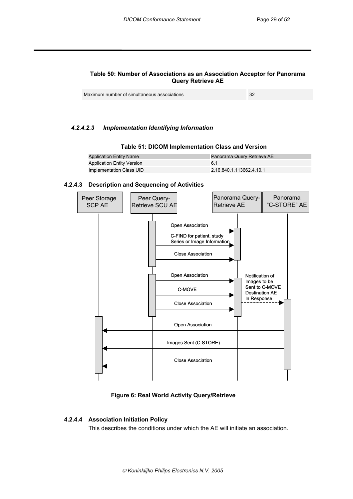#### **Table 50: Number of Associations as an Association Acceptor for Panorama Query Retrieve AE**

#### *4.2.4.2.3 Implementation Identifying Information*

#### **Table 51: DICOM Implementation Class and Version**

| <b>Application Entity Name</b>    | Panorama Query Retrieve AE |
|-----------------------------------|----------------------------|
| <b>Application Entity Version</b> | հ 1                        |
| Implementation Class UID          | 2.16.840.1.113662.4.10.1   |

#### **4.2.4.3 Description and Sequencing of Activities**



#### **Figure 6: Real World Activity Query/Retrieve**

#### **4.2.4.4 Association Initiation Policy**

This describes the conditions under which the AE will initiate an association.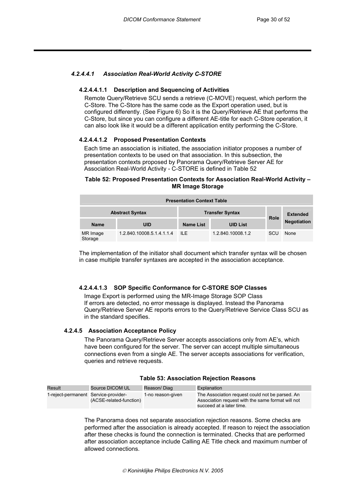#### *4.2.4.4.1 Association Real-World Activity C-STORE*

#### **4.2.4.4.1.1 Description and Sequencing of Activities**

Remote Query/Retrieve SCU sends a retrieve (C-MOVE) request, which perform the C-Store. The C-Store has the same code as the Export operation used, but is configured differently. (See Figure 6) So it is the Query/Retrieve AE that performs the C-Store, but since you can configure a different AE-title for each C-Store operation, it can also look like it would be a different application entity performing the C-Store.

#### **4.2.4.4.1.2 Proposed Presentation Contexts**

Each time an association is initiated, the association initiator proposes a number of presentation contexts to be used on that association. In this subsection, the presentation contexts proposed by Panorama Query/Retrieve Server AE for Association Real-World Activity - C-STORE is defined in Table 52

#### **Table 52: Proposed Presentation Contexts for Association Real-World Activity – MR Image Storage**

| <b>Presentation Context Table</b>                |                           |                  |                   |             |                    |
|--------------------------------------------------|---------------------------|------------------|-------------------|-------------|--------------------|
| <b>Abstract Syntax</b><br><b>Transfer Syntax</b> |                           |                  |                   |             | <b>Extended</b>    |
| <b>Name</b>                                      | UID                       | <b>Name List</b> | <b>UID List</b>   | <b>Role</b> | <b>Negotiation</b> |
| MR Image<br>Storage                              | 1.2.840.10008.5.1.4.1.1.4 | ILE.             | 1.2.840.10008.1.2 | SCU         | None               |

The implementation of the initiator shall document which transfer syntax will be chosen in case multiple transfer syntaxes are accepted in the association acceptance.

#### **4.2.4.4.1.3 SOP Specific Conformance for C-STORE SOP Classes**

Image Export is performed using the MR-Image Storage SOP Class If errors are detected, no error message is displayed. Instead the Panorama Query/Retrieve Server AE reports errors to the Query/Retrieve Service Class SCU as in the standard specifies.

#### **4.2.4.5 Association Acceptance Policy**

The Panorama Query/Retrieve Server accepts associations only from AE's, which have been configured for the server. The server can accept multiple simultaneous connections even from a single AE. The server accepts associations for verification, queries and retrieve requests.

| Result                               | Source DICOM UL         | Reason/Diag       | Explanation                                                                                                                      |
|--------------------------------------|-------------------------|-------------------|----------------------------------------------------------------------------------------------------------------------------------|
| 1-reject-permanent Service-provider- | (ACSE-related-function) | 1-no reason-given | The Association request could not be parsed. An<br>Association request with the same format will not<br>succeed at a later time. |

#### **Table 53: Association Rejection Reasons**

The Panorama does not separate association rejection reasons. Some checks are performed after the association is already accepted. If reason to reject the association after these checks is found the connection is terminated. Checks that are performed after association acceptance include Calling AE Title check and maximum number of allowed connections.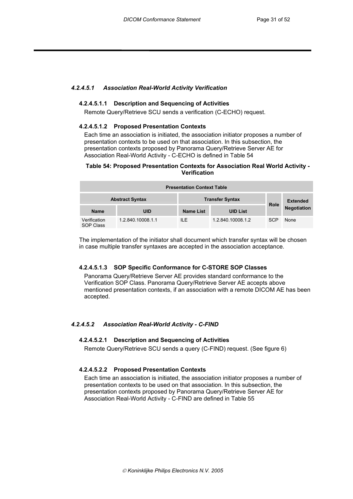#### *4.2.4.5.1 Association Real-World Activity Verification*

#### **4.2.4.5.1.1 Description and Sequencing of Activities**

Remote Query/Retrieve SCU sends a verification (C-ECHO) request.

#### **4.2.4.5.1.2 Proposed Presentation Contexts**

Each time an association is initiated, the association initiator proposes a number of presentation contexts to be used on that association. In this subsection, the presentation contexts proposed by Panorama Query/Retrieve Server AE for Association Real-World Activity - C-ECHO is defined in Table 54

#### **Table 54: Proposed Presentation Contexts for Association Real World Activity - Verification**

| <b>Presentation Context Table</b>                |                   |           |                   |             |                    |  |
|--------------------------------------------------|-------------------|-----------|-------------------|-------------|--------------------|--|
| <b>Transfer Syntax</b><br><b>Abstract Syntax</b> |                   |           |                   |             | <b>Extended</b>    |  |
| <b>Name</b>                                      | UID               | Name List | <b>UID List</b>   | <b>Role</b> | <b>Negotiation</b> |  |
| Verification<br><b>SOP Class</b>                 | 1.2.840.10008.1.1 | ILE.      | 1.2.840.10008.1.2 | <b>SCP</b>  | None               |  |

The implementation of the initiator shall document which transfer syntax will be chosen in case multiple transfer syntaxes are accepted in the association acceptance.

#### **4.2.4.5.1.3 SOP Specific Conformance for C-STORE SOP Classes**

Panorama Query/Retrieve Server AE provides standard conformance to the Verification SOP Class. Panorama Query/Retrieve Server AE accepts above mentioned presentation contexts, if an association with a remote DICOM AE has been accepted.

#### *4.2.4.5.2 Association Real-World Activity - C-FIND*

#### **4.2.4.5.2.1 Description and Sequencing of Activities**

Remote Query/Retrieve SCU sends a query (C-FIND) request. (See figure 6)

#### **4.2.4.5.2.2 Proposed Presentation Contexts**

Each time an association is initiated, the association initiator proposes a number of presentation contexts to be used on that association. In this subsection, the presentation contexts proposed by Panorama Query/Retrieve Server AE for Association Real-World Activity - C-FIND are defined in Table 55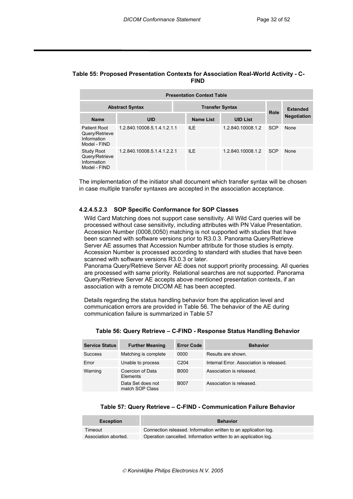#### **Table 55: Proposed Presentation Contexts for Association Real-World Activity - C-FIND**

| <b>Presentation Context Table</b>                                  |                             |                  |                   |            |                    |
|--------------------------------------------------------------------|-----------------------------|------------------|-------------------|------------|--------------------|
| <b>Transfer Syntax</b><br><b>Abstract Syntax</b>                   |                             |                  |                   |            | <b>Extended</b>    |
| <b>Name</b>                                                        | <b>UID</b>                  | <b>Name List</b> | <b>UID List</b>   | Role       | <b>Negotiation</b> |
| Patient Root<br>Query/Retrieve<br>Information<br>Model - FIND      | 1.2.840.10008.5.1.4.1.2.1.1 | ILE.             | 1.2.840.10008.1.2 | <b>SCP</b> | None               |
| <b>Study Root</b><br>Query/Retrieve<br>Information<br>Model - FIND | 1.2.840.10008.5.1.4.1.2.2.1 | ILE.             | 1.2.840.10008.1.2 | <b>SCP</b> | None               |

The implementation of the initiator shall document which transfer syntax will be chosen in case multiple transfer syntaxes are accepted in the association acceptance.

#### **4.2.4.5.2.3 SOP Specific Conformance for SOP Classes**

Wild Card Matching does not support case sensitivity. All Wild Card queries will be processed without case sensitivity, including attributes with PN Value Presentation. Accession Number (0008,0050) matching is not supported with studies that have been scanned with software versions prior to R3.0.3. Panorama Query/Retrieve Server AE assumes that Accession Number attribute for those studies is empty. Accession Number is processed according to standard with studies that have been scanned with software versions R3.0.3 or later.

Panorama Query/Retrieve Server AE does not support priority processing. All queries are processed with same priority. Relational searches are not supported. Panorama Query/Retrieve Server AE accepts above mentioned presentation contexts, if an association with a remote DICOM AE has been accepted.

Details regarding the status handling behavior from the application level and communication errors are provided in Table 56. The behavior of the AE during communication failure is summarized in Table 57

| <b>Service Status</b> | <b>Further Meaning</b>               | <b>Error Code</b> | <b>Behavior</b>                          |
|-----------------------|--------------------------------------|-------------------|------------------------------------------|
| <b>Success</b>        | Matching is complete                 | 0000              | Results are shown.                       |
| Error                 | Unable to process                    | C <sub>204</sub>  | Internal Error. Association is released. |
| Warning               | Coercion of Data<br>Elements         | <b>B000</b>       | Association is released.                 |
|                       | Data Set does not<br>match SOP Class | <b>B007</b>       | Association is released.                 |

#### **Table 56: Query Retrieve – C-FIND - Response Status Handling Behavior**

#### **Table 57: Query Retrieve – C-FIND - Communication Failure Behavior**

| <b>Exception</b>     | <b>Behavior</b>                                                 |
|----------------------|-----------------------------------------------------------------|
| Timeout              | Connection released. Information written to an application log. |
| Association aborted. | Operation cancelled. Information written to an application log. |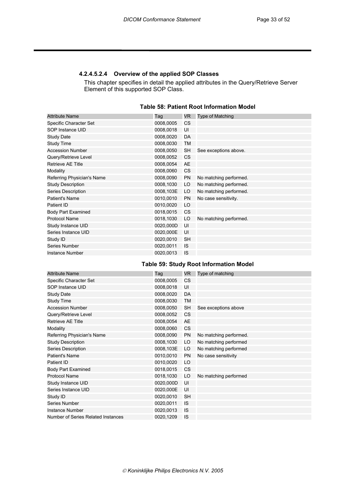#### **4.2.4.5.2.4 Overview of the applied SOP Classes**

This chapter specifies in detail the applied attributes in the Query/Retrieve Server Element of this supported SOP Class.

| Table 58: Patient Root Information Model |  |
|------------------------------------------|--|
|------------------------------------------|--|

| <b>Attribute Name</b>      | Taq       | VR.       | <b>Type of Matching</b> |
|----------------------------|-----------|-----------|-------------------------|
| Specific Character Set     | 0008,0005 | <b>CS</b> |                         |
| SOP Instance UID           | 0008,0018 | UI        |                         |
| <b>Study Date</b>          | 0008,0020 | DA        |                         |
| Study Time                 | 0008,0030 | <b>TM</b> |                         |
| <b>Accession Number</b>    | 0008,0050 | <b>SH</b> | See exceptions above.   |
| Query/Retrieve Level       | 0008,0052 | <b>CS</b> |                         |
| Retrieve AE Title          | 0008,0054 | <b>AE</b> |                         |
| Modality                   | 0008,0060 | <b>CS</b> |                         |
| Referring Physician's Name | 0008,0090 | <b>PN</b> | No matching performed.  |
| <b>Study Description</b>   | 0008,1030 | LO        | No matching performed.  |
| Series Description         | 0008,103E | LO        | No matching performed.  |
| Patient's Name             | 0010,0010 | <b>PN</b> | No case sensitivity.    |
| Patient ID                 | 0010,0020 | LO        |                         |
| <b>Body Part Examined</b>  | 0018,0015 | <b>CS</b> |                         |
| <b>Protocol Name</b>       | 0018,1030 | LO        | No matching performed.  |
| Study Instance UID         | 0020,000D | UI        |                         |
| Series Instance UID        | 0020,000E | UI        |                         |
| Study ID                   | 0020,0010 | <b>SH</b> |                         |
| Series Number              | 0020,0011 | <b>IS</b> |                         |
| Instance Number            | 0020,0013 | IS        |                         |

## **Table 59: Study Root Information Model**

| <b>Attribute Name</b>              | Taq       | VR.       | Type of matching       |
|------------------------------------|-----------|-----------|------------------------|
| Specific Character Set             | 0008,0005 | CS        |                        |
| SOP Instance UID                   | 0008,0018 | UI        |                        |
| <b>Study Date</b>                  | 0008,0020 | DA        |                        |
| <b>Study Time</b>                  | 0008,0030 | <b>TM</b> |                        |
| <b>Accession Number</b>            | 0008,0050 | <b>SH</b> | See exceptions above   |
| Query/Retrieve Level               | 0008,0052 | CS        |                        |
| Retrieve AE Title                  | 0008,0054 | AE        |                        |
| Modality                           | 0008,0060 | CS        |                        |
| Referring Physician's Name         | 0008,0090 | <b>PN</b> | No matching performed. |
| <b>Study Description</b>           | 0008,1030 | LO        | No matching performed  |
| Series Description                 | 0008,103E | LO        | No matching performed  |
| Patient's Name                     | 0010,0010 | <b>PN</b> | No case sensitivity    |
| Patient ID                         | 0010,0020 | LO        |                        |
| <b>Body Part Examined</b>          | 0018,0015 | CS        |                        |
| <b>Protocol Name</b>               | 0018,1030 | LO        | No matching performed  |
| Study Instance UID                 | 0020,000D | UI        |                        |
| Series Instance UID                | 0020,000E | UI        |                        |
| Study ID                           | 0020,0010 | <b>SH</b> |                        |
| Series Number                      | 0020,0011 | <b>IS</b> |                        |
| Instance Number                    | 0020,0013 | <b>IS</b> |                        |
| Number of Series Related Instances | 0020,1209 | IS        |                        |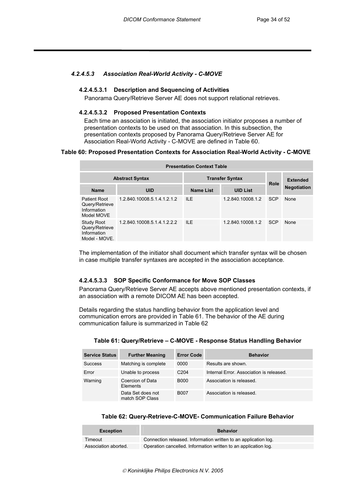#### *4.2.4.5.3 Association Real-World Activity - C-MOVE*

#### **4.2.4.5.3.1 Description and Sequencing of Activities**

Panorama Query/Retrieve Server AE does not support relational retrieves.

#### **4.2.4.5.3.2 Proposed Presentation Contexts**

Each time an association is initiated, the association initiator proposes a number of presentation contexts to be used on that association. In this subsection, the presentation contexts proposed by Panorama Query/Retrieve Server AE for Association Real-World Activity - C-MOVE are defined in Table 60.

#### **Table 60: Proposed Presentation Contexts for Association Real-World Activity - C-MOVE**

| <b>Presentation Context Table</b>                                   |                             |                  |                   |            |                    |
|---------------------------------------------------------------------|-----------------------------|------------------|-------------------|------------|--------------------|
| <b>Abstract Syntax</b>                                              | <b>Transfer Syntax</b>      | Role             | <b>Extended</b>   |            |                    |
| <b>Name</b>                                                         | <b>UID</b>                  | <b>Name List</b> | <b>UID List</b>   |            | <b>Negotiation</b> |
| Patient Root<br>Query/Retrieve<br>Information<br>Model MOVE         | 1.2.840.10008.5.1.4.1.2.1.2 | II F             | 1.2.840.10008.1.2 | <b>SCP</b> | None               |
| <b>Study Root</b><br>Query/Retrieve<br>Information<br>Model - MOVE. | 1.2.840.10008.5.1.4.1.2.2.2 | $II$ F           | 1.2.840.10008.1.2 | <b>SCP</b> | None               |

The implementation of the initiator shall document which transfer syntax will be chosen in case multiple transfer syntaxes are accepted in the association acceptance.

#### **4.2.4.5.3.3 SOP Specific Conformance for Move SOP Classes**

Panorama Query/Retrieve Server AE accepts above mentioned presentation contexts, if an association with a remote DICOM AE has been accepted.

Details regarding the status handling behavior from the application level and communication errors are provided in Table 61. The behavior of the AE during communication failure is summarized in Table 62

| <b>Service Status</b> | <b>Further Meaning</b>               | <b>Error Code</b> | <b>Behavior</b>                          |
|-----------------------|--------------------------------------|-------------------|------------------------------------------|
| <b>Success</b>        | Matching is complete                 | 0000              | Results are shown.                       |
| Error                 | Unable to process                    | C <sub>204</sub>  | Internal Error, Association is released. |
| Warning               | Coercion of Data<br>Elements         | <b>B000</b>       | Association is released.                 |
|                       | Data Set does not<br>match SOP Class | <b>B007</b>       | Association is released.                 |

#### **Table 61: Query/Retrieve – C-MOVE - Response Status Handling Behavior**

#### **Table 62: Query-Retrieve-C-MOVE- Communication Failure Behavior**

| <b>Exception</b>     | <b>Behavior</b>                                                 |
|----------------------|-----------------------------------------------------------------|
| Timeout              | Connection released. Information written to an application log. |
| Association aborted. | Operation cancelled. Information written to an application log. |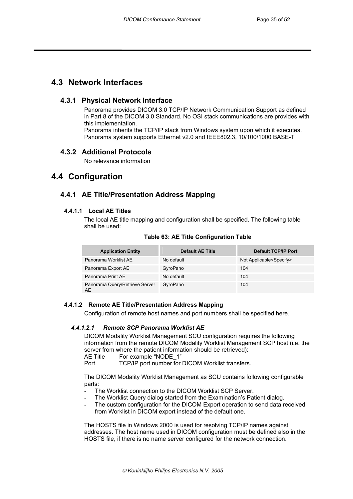## **4.3 Network Interfaces**

## **4.3.1 Physical Network Interface**

Panorama provides DICOM 3.0 TCP/IP Network Communication Support as defined in Part 8 of the DICOM 3.0 Standard. No OSI stack communications are provides with this implementation. Panorama inherits the TCP/IP stack from Windows system upon which it executes. Panorama system supports Ethernet v2.0 and IEEE802.3, 10/100/1000 BASE-T

## **4.3.2 Additional Protocols**

No relevance information

## **4.4 Configuration**

## **4.4.1 AE Title/Presentation Address Mapping**

#### **4.4.1.1 Local AE Titles**

The local AE title mapping and configuration shall be specified. The following table shall be used:

| <b>Application Entity</b>            | <b>Default AE Title</b> | <b>Default TCP/IP Port</b>         |
|--------------------------------------|-------------------------|------------------------------------|
| Panorama Worklist AE                 | No default              | Not Applicable <specify></specify> |
| Panorama Export AE                   | GyroPano                | 104                                |
| Panorama Print AE                    | No default              | 104                                |
| Panorama Query/Retrieve Server<br>AE | GyroPano                | 104                                |

**Table 63: AE Title Configuration Table** 

## **4.4.1.2 Remote AE Title/Presentation Address Mapping**

Configuration of remote host names and port numbers shall be specified here.

## *4.4.1.2.1 Remote SCP Panorama Worklist AE*

DICOM Modality Worklist Management SCU configuration requires the following information from the remote DICOM Modality Worklist Management SCP host (i.e. the server from where the patient information should be retrieved):

AE Title For example "NODE 1"

Port TCP/IP port number for DICOM Worklist transfers.

The DICOM Modality Worklist Management as SCU contains following configurable parts:

- The Worklist connection to the DICOM Worklist SCP Server.
- The Worklist Query dialog started from the Examination's Patient dialog.
- The custom configuration for the DICOM Export operation to send data received from Worklist in DICOM export instead of the default one.

The HOSTS file in Windows 2000 is used for resolving TCP/IP names against addresses. The host name used in DICOM configuration must be defined also in the HOSTS file, if there is no name server configured for the network connection.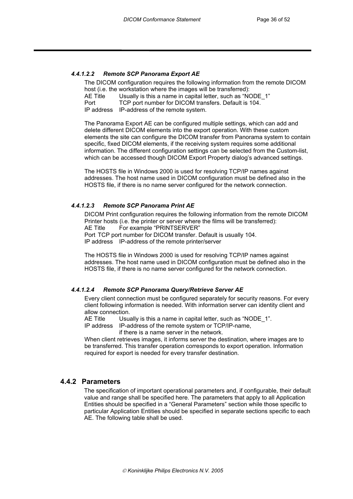#### *4.4.1.2.2 Remote SCP Panorama Export AE*

The DICOM configuration requires the following information from the remote DICOM host (i.e. the workstation where the images will be transferred):

AE Title Usually is this a name in capital letter, such as "NODE 1"

Port TCP port number for DICOM transfers. Default is 104.

IP address IP-address of the remote system.

The Panorama Export AE can be configured multiple settings, which can add and delete different DICOM elements into the export operation. With these custom elements the site can configure the DICOM transfer from Panorama system to contain specific, fixed DICOM elements, if the receiving system requires some additional information. The different configuration settings can be selected from the Custom-list, which can be accessed though DICOM Export Property dialog's advanced settings.

The HOSTS file in Windows 2000 is used for resolving TCP/IP names against addresses. The host name used in DICOM configuration must be defined also in the HOSTS file, if there is no name server configured for the network connection.

#### *4.4.1.2.3 Remote SCP Panorama Print AE*

DICOM Print configuration requires the following information from the remote DICOM Printer hosts (i.e. the printer or server where the films will be transferred): AE Title For example "PRINTSERVER" Port TCP port number for DICOM transfer. Default is usually 104. IP address IP-address of the remote printer/server

The HOSTS file in Windows 2000 is used for resolving TCP/IP names against addresses. The host name used in DICOM configuration must be defined also in the HOSTS file, if there is no name server configured for the network connection.

#### *4.4.1.2.4 Remote SCP Panorama Query/Retrieve Server AE*

Every client connection must be configured separately for security reasons. For every client following information is needed. With information server can identity client and allow connection.

AE Title Usually is this a name in capital letter, such as "NODE 1".

IP address IP-address of the remote system or TCP/IP-name, if there is a name server in the network.

When client retrieves images, it informs server the destination, where images are to be transferred. This transfer operation corresponds to export operation. Information required for export is needed for every transfer destination.

## **4.4.2 Parameters**

The specification of important operational parameters and, if configurable, their default value and range shall be specified here. The parameters that apply to all Application Entities should be specified in a "General Parameters" section while those specific to particular Application Entities should be specified in separate sections specific to each AE. The following table shall be used.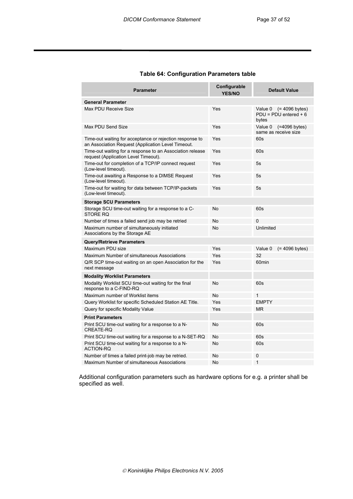| <b>Parameter</b>                                                                                               | Configurable<br><b>YES/NO</b> | <b>Default Value</b>                                             |
|----------------------------------------------------------------------------------------------------------------|-------------------------------|------------------------------------------------------------------|
| <b>General Parameter</b>                                                                                       |                               |                                                                  |
| Max PDU Receive Size                                                                                           | Yes                           | Value 0<br>$(= 4096$ bytes)<br>$PDU = PDU$ entered $+6$<br>bytes |
| Max PDU Send Size                                                                                              | Yes                           | Value 0<br>(=4096 bytes)<br>same as receive size                 |
| Time-out waiting for acceptance or rejection response to<br>an Association Request (Application Level Timeout. | Yes                           | 60s                                                              |
| Time-out waiting for a response to an Association release<br>request (Application Level Timeout).              | Yes                           | 60s                                                              |
| Time-out for completion of a TCP/IP connect request<br>(Low-level timeout).                                    | Yes                           | 5s                                                               |
| Time-out awaiting a Response to a DIMSE Request<br>(Low-level timeout).                                        | Yes                           | 5s                                                               |
| Time-out for waiting for data between TCP/IP-packets<br>(Low-level timeout).                                   | Yes                           | 5s                                                               |
| <b>Storage SCU Parameters</b>                                                                                  |                               |                                                                  |
| Storage SCU time-out waiting for a response to a C-<br>STORE RQ                                                | No                            | 60s                                                              |
| Number of times a failed send job may be retried                                                               | <b>No</b>                     | 0                                                                |
| Maximum number of simultaneously initiated<br>Associations by the Storage AE                                   | <b>No</b>                     | Unlimited                                                        |
| <b>Query/Retrieve Parameters</b>                                                                               |                               |                                                                  |
| Maximum PDU size                                                                                               | Yes                           | Value 0<br>$(= 4096$ bytes)                                      |
| Maximum Number of simultaneous Associations                                                                    | Yes                           | 32                                                               |
| Q/R SCP time-out waiting on an open Association for the<br>next message                                        | Yes                           | 60min                                                            |
| <b>Modality Worklist Parameters</b>                                                                            |                               |                                                                  |
| Modality Worklist SCU time-out waiting for the final<br>response to a C-FIND-RQ                                | No                            | 60s                                                              |
| Maximum number of Worklist items                                                                               | <b>No</b>                     | 1                                                                |
| Query Worklist for specific Scheduled Station AE Title.                                                        | Yes                           | <b>EMPTY</b>                                                     |
| Query for specific Modality Value                                                                              | Yes                           | ΜR                                                               |
| <b>Print Parameters</b>                                                                                        |                               |                                                                  |
| Print SCU time-out waiting for a response to a N-<br>CREATE-RO                                                 | No                            | 60s                                                              |
| Print SCU time-out waiting for a response to a N-SET-RQ                                                        | <b>No</b>                     | 60s                                                              |
| Print SCU time-out waiting for a response to a N-<br><b>ACTION-RQ</b>                                          | No                            | 60s                                                              |
| Number of times a failed print-job may be retried.                                                             | <b>No</b>                     | 0                                                                |
| Maximum Number of simultaneous Associations                                                                    | No                            | 1                                                                |

#### **Table 64: Configuration Parameters table**

Additional configuration parameters such as hardware options for e.g. a printer shall be specified as well.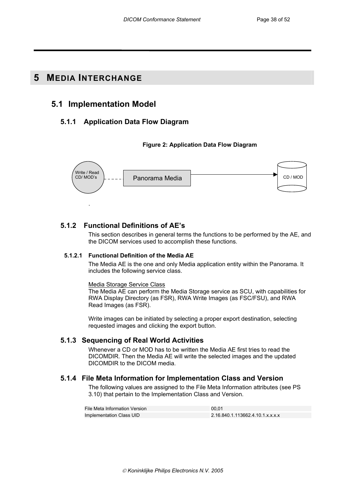## **5 MEDIA INTERCHANGE**

.

## **5.1 Implementation Model**

## **5.1.1 Application Data Flow Diagram**

#### **Figure 2: Application Data Flow Diagram**



## **5.1.2 Functional Definitions of AE's**

This section describes in general terms the functions to be performed by the AE, and the DICOM services used to accomplish these functions.

#### **5.1.2.1 Functional Definition of the Media AE**

The Media AE is the one and only Media application entity within the Panorama. It includes the following service class.

#### Media Storage Service Class

The Media AE can perform the Media Storage service as SCU, with capabilities for RWA Display Directory (as FSR), RWA Write Images (as FSC/FSU), and RWA Read Images (as FSR).

Write images can be initiated by selecting a proper export destination, selecting requested images and clicking the export button.

## **5.1.3 Sequencing of Real World Activities**

Whenever a CD or MOD has to be written the Media AE first tries to read the DICOMDIR. Then the Media AE will write the selected images and the updated DICOMDIR to the DICOM media.

## **5.1.4 File Meta Information for Implementation Class and Version**

The following values are assigned to the File Meta Information attributes (see PS 3.10) that pertain to the Implementation Class and Version.

| File Meta Information Version | 00.01                            |
|-------------------------------|----------------------------------|
| Implementation Class UID      | 2.16.840.1.113662.4.10.1.x.x.x.x |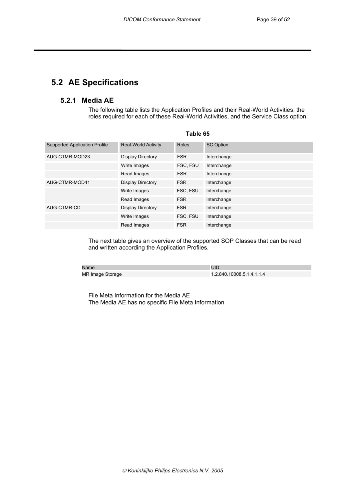# **5.2 AE Specifications**

## **5.2.1 Media AE**

The following table lists the Application Profiles and their Real-World Activities, the roles required for each of these Real-World Activities, and the Service Class option.

| <b>Supported Application Profile</b> | <b>Real-World Activity</b> | Roles      | <b>SC Option</b> |
|--------------------------------------|----------------------------|------------|------------------|
| AUG-CTMR-MOD23                       | Display Directory          | <b>FSR</b> | Interchange      |
|                                      | Write Images               | FSC, FSU   | Interchange      |
|                                      | Read Images                | <b>FSR</b> | Interchange      |
| AUG-CTMR-MOD41                       | Display Directory          | <b>FSR</b> | Interchange      |
|                                      | Write Images               | FSC. FSU   | Interchange      |
|                                      | Read Images                | <b>FSR</b> | Interchange      |
| AUG-CTMR-CD                          | Display Directory          | <b>FSR</b> | Interchange      |
|                                      | Write Images               | FSC. FSU   | Interchange      |
|                                      | Read Images                | <b>FSR</b> | Interchange      |

#### **Table 65**

The next table gives an overview of the supported SOP Classes that can be read and written according the Application Profiles.

| <b>Name</b>      |                           |
|------------------|---------------------------|
| MR Image Storage | 1.2.840.10008.5.1.4.1.1.4 |

File Meta Information for the Media AE The Media AE has no specific File Meta Information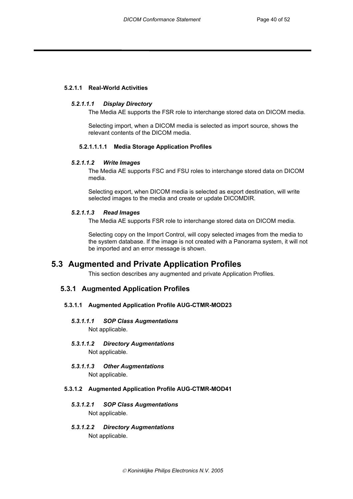#### **5.2.1.1 Real-World Activities**

#### *5.2.1.1.1 Display Directory*

The Media AE supports the FSR role to interchange stored data on DICOM media.

Selecting import, when a DICOM media is selected as import source, shows the relevant contents of the DICOM media.

#### **5.2.1.1.1.1 Media Storage Application Profiles**

#### *5.2.1.1.2 Write Images*

The Media AE supports FSC and FSU roles to interchange stored data on DICOM media.

Selecting export, when DICOM media is selected as export destination, will write selected images to the media and create or update DICOMDIR.

#### *5.2.1.1.3 Read Images*

The Media AE supports FSR role to interchange stored data on DICOM media.

Selecting copy on the Import Control, will copy selected images from the media to the system database. If the image is not created with a Panorama system, it will not be imported and an error message is shown.

## **5.3 Augmented and Private Application Profiles**

This section describes any augmented and private Application Profiles.

## **5.3.1 Augmented Application Profiles**

#### **5.3.1.1 Augmented Application Profile AUG-CTMR-MOD23**

- *5.3.1.1.1 SOP Class Augmentations*  Not applicable.
- *5.3.1.1.2 Directory Augmentations*  Not applicable.
- *5.3.1.1.3 Other Augmentations*  Not applicable.

#### **5.3.1.2 Augmented Application Profile AUG-CTMR-MOD41**

- *5.3.1.2.1 SOP Class Augmentations*  Not applicable.
- *5.3.1.2.2 Directory Augmentations*  Not applicable.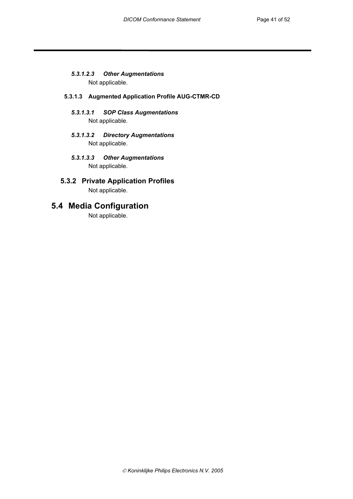## *5.3.1.2.3 Other Augmentations*

Not applicable.

#### **5.3.1.3 Augmented Application Profile AUG-CTMR-CD**

- *5.3.1.3.1 SOP Class Augmentations*  Not applicable.
- *5.3.1.3.2 Directory Augmentations*  Not applicable.
- *5.3.1.3.3 Other Augmentations*  Not applicable.

## **5.3.2 Private Application Profiles**  Not applicable.

# **5.4 Media Configuration**

Not applicable.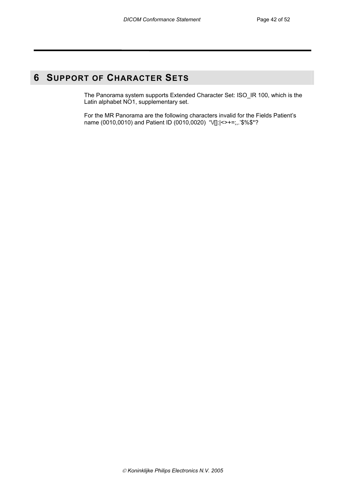# **6 SUPPORT OF CHARACTER SETS**

The Panorama system supports Extended Character Set: ISO\_IR 100, which is the Latin alphabet NO1, supplementary set.

For the MR Panorama are the following characters invalid for the Fields Patient's name (0010,0010) and Patient ID (0010,0020) "V[]: $\left| \left| \right| \right|$ : \statismum = \text{\statism}\$ 1} 0.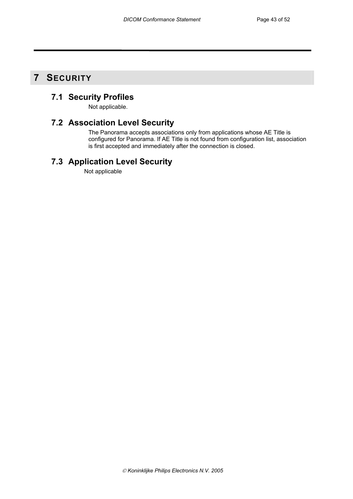# **7 SECURITY**

# **7.1 Security Profiles**

Not applicable.

## **7.2 Association Level Security**

The Panorama accepts associations only from applications whose AE Title is configured for Panorama. If AE Title is not found from configuration list, association is first accepted and immediately after the connection is closed.

# **7.3 Application Level Security**

Not applicable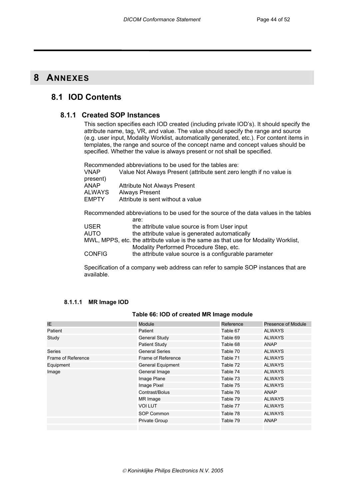## **8 ANNEXES**

## **8.1 IOD Contents**

## **8.1.1 Created SOP Instances**

This section specifies each IOD created (including private IOD's). It should specify the attribute name, tag, VR, and value. The value should specify the range and source (e.g. user input, Modality Worklist, automatically generated, etc.). For content items in templates, the range and source of the concept name and concept values should be specified. Whether the value is always present or not shall be specified.

Recommended abbreviations to be used for the tables are: VNAP Value Not Always Present (attribute sent zero length if no value is present) ANAP Attribute Not Always Present<br>ALWAYS Always Present ALWAYS Always Present<br>
EMPTY Attribute is sent Attribute is sent without a value Recommended abbreviations to be used for the source of the data values in the tables are: USER the attribute value source is from User input AUTO the attribute value is generated automatically MWL, MPPS, etc. the attribute value is the same as that use for Modality Worklist, Modality Performed Procedure Step, etc.

CONFIG the attribute value source is a configurable parameter

Specification of a company web address can refer to sample SOP instances that are available.

#### **8.1.1.1 MR Image IOD**

#### **Table 66: IOD of created MR Image module**

| IE                 | <b>Module</b>         | Reference | Presence of Module |
|--------------------|-----------------------|-----------|--------------------|
| Patient            | Patient               | Table 67  | <b>ALWAYS</b>      |
| Study              | <b>General Study</b>  | Table 69  | <b>ALWAYS</b>      |
|                    | Patient Study         | Table 68  | <b>ANAP</b>        |
| Series             | <b>General Series</b> | Table 70  | <b>ALWAYS</b>      |
| Frame of Reference | Frame of Reference    | Table 71  | <b>ALWAYS</b>      |
| Equipment          | General Equipment     | Table 72  | <b>ALWAYS</b>      |
| Image              | General Image         | Table 74  | <b>ALWAYS</b>      |
|                    | Image Plane           | Table 73  | <b>ALWAYS</b>      |
|                    | Image Pixel           | Table 75  | <b>ALWAYS</b>      |
|                    | Contrast/Bolus        | Table 76  | <b>ANAP</b>        |
|                    | MR Image              | Table 79  | <b>ALWAYS</b>      |
|                    | VOI LUT               | Table 77  | ALWAYS             |
|                    | SOP Common            | Table 78  | <b>ALWAYS</b>      |
|                    | <b>Private Group</b>  | Table 79  | <b>ANAP</b>        |
|                    |                       |           |                    |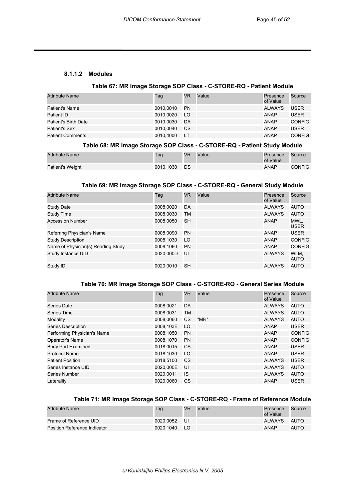#### **8.1.1.2 Modules**

#### **Table 67: MR Image Storage SOP Class - C-STORE-RQ - Patient Module**

| <b>Attribute Name</b>   | Tag       | <b>VR</b> | Value | Presence<br>of Value | Source        |
|-------------------------|-----------|-----------|-------|----------------------|---------------|
| Patient's Name          | 0010,0010 | <b>PN</b> |       | ALWAYS               | <b>USER</b>   |
| Patient ID              | 0010.0020 | LO.       |       | <b>ANAP</b>          | <b>USER</b>   |
| Patient's Birth Date    | 0010.0030 | DA        |       | <b>ANAP</b>          | <b>CONFIG</b> |
| Patient's Sex           | 0010.0040 | CS.       |       | <b>ANAP</b>          | USER          |
| <b>Patient Comments</b> | 0010.4000 | LT        |       | <b>ANAP</b>          | <b>CONFIG</b> |

#### **Table 68: MR Image Storage SOP Class - C-STORE-RQ - Patient Study Module**

| <b>Attribute Name</b> | Гаg       | VR   | Value | Presence<br>of Value | Source        |
|-----------------------|-----------|------|-------|----------------------|---------------|
| Patient's Weight      | 0010.1030 | - DS |       | <b>ANAP</b>          | <b>CONFIG</b> |

#### **Table 69: MR Image Storage SOP Class - C-STORE-RQ - General Study Module**

| <b>Attribute Name</b>              | Taq       | VR.       | Value | Presence<br>of Value | Source              |
|------------------------------------|-----------|-----------|-------|----------------------|---------------------|
| <b>Study Date</b>                  | 0008,0020 | DA        |       | <b>ALWAYS</b>        | AUTO                |
| Study Time                         | 0008,0030 | TM        |       | <b>ALWAYS</b>        | <b>AUTO</b>         |
| <b>Accession Number</b>            | 0008,0050 | <b>SH</b> |       | <b>ANAP</b>          | MWL,<br><b>USER</b> |
| Referring Physician's Name         | 0008,0090 | <b>PN</b> |       | <b>ANAP</b>          | <b>USER</b>         |
| <b>Study Description</b>           | 0008.1030 | LO        |       | <b>ANAP</b>          | <b>CONFIG</b>       |
| Name of Physician(s) Reading Study | 0008,1060 | <b>PN</b> |       | <b>ANAP</b>          | <b>CONFIG</b>       |
| Study Instance UID                 | 0020,000D | UI        |       | <b>ALWAYS</b>        | WLM.<br>AUTO        |
| Study ID                           | 0020.0010 | <b>SH</b> |       | <b>ALWAYS</b>        | <b>AUTO</b>         |

## **Table 70: MR Image Storage SOP Class - C-STORE-RQ - General Series Module**

| <b>Attribute Name</b>       | Tag       | <b>VR</b> | Value | Presence<br>of Value | Source        |
|-----------------------------|-----------|-----------|-------|----------------------|---------------|
| Series Date                 | 0008,0021 | DA        |       | <b>ALWAYS</b>        | AUTO          |
| Series Time                 | 0008,0031 | TM        |       | <b>ALWAYS</b>        | <b>AUTO</b>   |
| Modality                    | 0008,0060 | <b>CS</b> | "MR"  | <b>ALWAYS</b>        | <b>AUTO</b>   |
| Series Description          | 0008,103E | LO        |       | <b>ANAP</b>          | <b>USER</b>   |
| Performing Physician's Name | 0008,1050 | <b>PN</b> |       | ANAP                 | <b>CONFIG</b> |
| Operator's Name             | 0008.1070 | <b>PN</b> |       | <b>ANAP</b>          | <b>CONFIG</b> |
| <b>Body Part Examined</b>   | 0018,0015 | <b>CS</b> |       | <b>ANAP</b>          | <b>USER</b>   |
| Protocol Name               | 0018.1030 | LO        |       | <b>ANAP</b>          | <b>USER</b>   |
| <b>Patient Position</b>     | 0018,5100 | <b>CS</b> |       | <b>ALWAYS</b>        | <b>USER</b>   |
| Series Instance UID         | 0020,000E | UI        |       | <b>ALWAYS</b>        | <b>AUTO</b>   |
| Series Number               | 0020,0011 | IS.       |       | <b>ALWAYS</b>        | <b>AUTO</b>   |
| Laterality                  | 0020,0060 | CS        |       | <b>ANAP</b>          | <b>USER</b>   |

## **Table 71: MR Image Storage SOP Class - C-STORE-RQ - Frame of Reference Module**

| <b>Attribute Name</b>        | Tag       | VR   | Value | Presence<br>of Value | Source |
|------------------------------|-----------|------|-------|----------------------|--------|
| Frame of Reference UID       | 0020.0052 | -UI  |       | <b>ALWAYS</b>        | AUTO   |
| Position Reference Indicator | 0020.1040 | - LO |       | ANAP                 | AUTO   |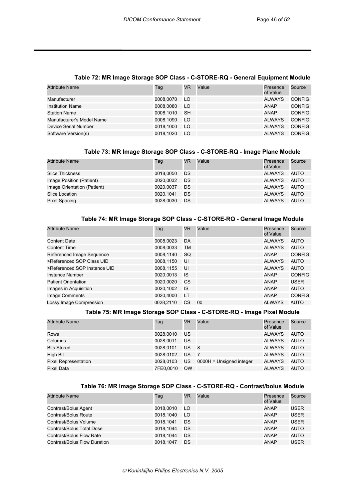# **Table 72: MR Image Storage SOP Class - C-STORE-RQ - General Equipment Module**

| Attribute Name            | Tag       | VR.       | Value | Presence<br>of Value | Source        |
|---------------------------|-----------|-----------|-------|----------------------|---------------|
| Manufacturer              | 0008.0070 | LO        |       | ALWAYS               | <b>CONFIG</b> |
| <b>Institution Name</b>   | 0008.0080 | LO        |       | <b>ANAP</b>          | <b>CONFIG</b> |
| <b>Station Name</b>       | 0008.1010 | <b>SH</b> |       | <b>ANAP</b>          | <b>CONFIG</b> |
| Manufacturer's Model Name | 0008.1090 | LO.       |       | ALWAYS               | <b>CONFIG</b> |
| Device Serial Number      | 0018.1000 | LO        |       | ALWAYS               | <b>CONFIG</b> |
| Software Version(s)       | 0018.1020 | LO        |       | ALWAYS               | <b>CONFIG</b> |

## **Table 73: MR Image Storage SOP Class - C-STORE-RQ - Image Plane Module**

| Attribute Name              | Tag       | <b>VR</b> | Value | Presence<br>of Value | Source |
|-----------------------------|-----------|-----------|-------|----------------------|--------|
| <b>Slice Thickness</b>      | 0018.0050 | DS        |       | ALWAYS               | AUTO   |
| Image Position (Patient)    | 0020,0032 | DS        |       | ALWAYS               | AUTO   |
| Image Orientation (Patient) | 0020.0037 | <b>DS</b> |       | ALWAYS               | AUTO   |
| Slice Location              | 0020.1041 | DS        |       | ALWAYS               | AUTO   |
| Pixel Spacing               | 0028,0030 | DS        |       | ALWAYS               | AUTO   |

#### **Table 74: MR Image Storage SOP Class - C-STORE-RQ - General Image Module**

| <b>Attribute Name</b>        | Tag       | <b>VR</b> | Value | Presence<br>of Value | Source        |
|------------------------------|-----------|-----------|-------|----------------------|---------------|
| <b>Content Date</b>          | 0008,0023 | DA        |       | <b>ALWAYS</b>        | AUTO          |
| <b>Content Time</b>          | 0008,0033 | TM        |       | <b>ALWAYS</b>        | <b>AUTO</b>   |
| Referenced Image Sequence    | 0008,1140 | <b>SQ</b> |       | <b>ANAP</b>          | <b>CONFIG</b> |
| >Referenced SOP Class UID    | 0008.1150 | UI        |       | <b>ALWAYS</b>        | AUTO          |
| >Referenced SOP Instance UID | 0008,1155 | UI        |       | <b>ALWAYS</b>        | AUTO          |
| Instance Number              | 0020,0013 | IS.       |       | ANAP                 | <b>CONFIG</b> |
| <b>Patient Orientation</b>   | 0020,0020 | CS.       |       | ANAP                 | <b>USER</b>   |
| Images in Acquisition        | 0020,1002 | <b>IS</b> |       | <b>ANAP</b>          | <b>AUTO</b>   |
| Image Comments               | 0020.4000 | LT        |       | <b>ANAP</b>          | <b>CONFIG</b> |
| Lossy Image Compression      | 0028.2110 | CS        | 00    | <b>ALWAYS</b>        | AUTO          |

#### **Table 75: MR Image Storage SOP Class - C-STORE-RQ - Image Pixel Module**

| <b>Attribute Name</b>       | Tag       | <b>VR</b>                         | Value                    | Presence<br>of Value | Source |
|-----------------------------|-----------|-----------------------------------|--------------------------|----------------------|--------|
| Rows                        | 0028,0010 | US                                |                          | <b>ALWAYS</b>        | AUTO   |
| Columns                     | 0028.0011 | US                                |                          | <b>ALWAYS</b>        | AUTO   |
| <b>Bits Stored</b>          | 0028.0101 | US.<br>$\overline{\phantom{0}}$ 8 |                          | <b>ALWAYS</b>        | AUTO   |
| High Bit                    | 0028.0102 | US.                               | $\sqrt{7}$               | ALWAYS               | AUTO   |
| <b>Pixel Representation</b> | 0028.0103 | US                                | 0000H = Unsigned integer | ALWAYS               | AUTO   |
| Pixel Data                  | 7FE0.0010 | <b>OW</b>                         |                          | <b>ALWAYS</b>        | AUTO   |

## **Table 76: MR Image Storage SOP Class - C-STORE-RQ - Contrast/bolus Module**

| <b>Attribute Name</b>        | Tag       | <b>VR</b> | Value | Presence<br>of Value | Source      |
|------------------------------|-----------|-----------|-------|----------------------|-------------|
| Contrast/Bolus Agent         | 0018.0010 | LO.       |       | ANAP                 | <b>USER</b> |
| Contrast/Bolus Route         | 0018.1040 | LO.       |       | ANAP                 | <b>USER</b> |
| Contrast/Bolus Volume        | 0018.1041 | DS        |       | ANAP                 | <b>USER</b> |
| Contrast/Bolus Total Dose    | 0018.1044 | <b>DS</b> |       | ANAP                 | AUTO        |
| Contrast/Bolus Flow Rate     | 0018.1044 | <b>DS</b> |       | ANAP                 | AUTO        |
| Contrast/Bolus Flow Duration | 0018.1047 | DS        |       | <b>ANAP</b>          | <b>USER</b> |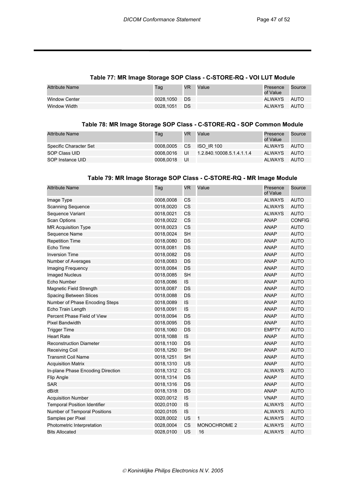#### **Table 77: MR Image Storage SOP Class - C-STORE-RQ - VOI LUT Module**

| <b>Attribute Name</b> | Tag          | VR | Value | Presence<br>of Value | Source      |
|-----------------------|--------------|----|-------|----------------------|-------------|
| <b>Window Center</b>  | 0028.1050 DS |    |       | ALWAYS               | AUTO        |
| Window Width          | 0028.1051 DS |    |       | ALWAYS               | <b>AUTO</b> |

#### **Table 78: MR Image Storage SOP Class - C-STORE-RQ - SOP Common Module**

| <b>Attribute Name</b>  | Tag       | VR     | Value                     | Presence<br>of Value | Source |
|------------------------|-----------|--------|---------------------------|----------------------|--------|
| Specific Character Set | 0008.0005 | CS.    | <b>ISO IR 100</b>         | ALWAYS               | AUTO   |
| SOP Class UID          | 0008.0016 | / UI / | 1.2.840.10008.5.1.4.1.1.4 | ALWAYS               | AUTO   |
| SOP Instance UID       | 0008.0018 | UI     |                           | ALWAYS               | AUTO   |

#### **Table 79: MR Image Storage SOP Class - C-STORE-RQ - MR Image Module**

| <b>Attribute Name</b>               | Tag       | <b>VR</b> | Value               | Presence<br>of Value | Source        |
|-------------------------------------|-----------|-----------|---------------------|----------------------|---------------|
| Image Type                          | 0008,0008 | CS        |                     | <b>ALWAYS</b>        | <b>AUTO</b>   |
| <b>Scanning Sequence</b>            | 0018,0020 | CS        |                     | <b>ALWAYS</b>        | <b>AUTO</b>   |
| Sequence Variant                    | 0018,0021 | <b>CS</b> |                     | <b>ALWAYS</b>        | <b>AUTO</b>   |
| <b>Scan Options</b>                 | 0018,0022 | CS        |                     | <b>ANAP</b>          | <b>CONFIG</b> |
| <b>MR Acquisition Type</b>          | 0018,0023 | <b>CS</b> |                     | <b>ANAP</b>          | <b>AUTO</b>   |
| Sequence Name                       | 0018,0024 | <b>SH</b> |                     | <b>ANAP</b>          | <b>AUTO</b>   |
| <b>Repetition Time</b>              | 0018,0080 | DS        |                     | <b>ANAP</b>          | <b>AUTO</b>   |
| Echo Time                           | 0018,0081 | DS        |                     | <b>ANAP</b>          | <b>AUTO</b>   |
| <b>Inversion Time</b>               | 0018,0082 | DS        |                     | <b>ANAP</b>          | <b>AUTO</b>   |
| Number of Averages                  | 0018,0083 | <b>DS</b> |                     | <b>ANAP</b>          | <b>AUTO</b>   |
| Imaging Frequency                   | 0018,0084 | <b>DS</b> |                     | <b>ANAP</b>          | <b>AUTO</b>   |
| <b>Imaged Nucleus</b>               | 0018,0085 | <b>SH</b> |                     | <b>ANAP</b>          | <b>AUTO</b>   |
| Echo Number                         | 0018,0086 | IS        |                     | <b>ANAP</b>          | <b>AUTO</b>   |
| Magnetic Field Strength             | 0018,0087 | <b>DS</b> |                     | <b>ANAP</b>          | <b>AUTO</b>   |
| Spacing Between Slices              | 0018,0088 | <b>DS</b> |                     | <b>ANAP</b>          | <b>AUTO</b>   |
| Number of Phase Encoding Steps      | 0018,0089 | IS        |                     | <b>ANAP</b>          | <b>AUTO</b>   |
| Echo Train Length                   | 0018,0091 | IS        |                     | <b>ANAP</b>          | <b>AUTO</b>   |
| Percent Phase Field of View         | 0018,0094 | DS        |                     | <b>ANAP</b>          | <b>AUTO</b>   |
| <b>Pixel Bandwidth</b>              | 0018,0095 | DS        |                     | <b>ANAP</b>          | <b>AUTO</b>   |
| <b>Trigger Time</b>                 | 0018,1060 | DS        |                     | <b>EMPTY</b>         | <b>AUTO</b>   |
| <b>Heart Rate</b>                   | 0018,1088 | IS        |                     | <b>ANAP</b>          | <b>AUTO</b>   |
| <b>Reconstruction Diameter</b>      | 0018,1100 | <b>DS</b> |                     | <b>ANAP</b>          | <b>AUTO</b>   |
| <b>Receiving Coil</b>               | 0018,1250 | <b>SH</b> |                     | <b>ANAP</b>          | <b>AUTO</b>   |
| <b>Transmit Coil Name</b>           | 0018,1251 | <b>SH</b> |                     | <b>ANAP</b>          | <b>AUTO</b>   |
| <b>Acquisition Matrix</b>           | 0018,1310 | US        |                     | <b>ANAP</b>          | <b>AUTO</b>   |
| In-plane Phase Encoding Direction   | 0018,1312 | <b>CS</b> |                     | <b>ALWAYS</b>        | <b>AUTO</b>   |
| Flip Angle                          | 0018,1314 | <b>DS</b> |                     | <b>ANAP</b>          | <b>AUTO</b>   |
| <b>SAR</b>                          | 0018,1316 | <b>DS</b> |                     | <b>ANAP</b>          | <b>AUTO</b>   |
| dB/dt                               | 0018,1318 | DS        |                     | <b>ANAP</b>          | <b>AUTO</b>   |
| <b>Acquisition Number</b>           | 0020,0012 | IS        |                     | <b>VNAP</b>          | <b>AUTO</b>   |
| <b>Temporal Position Identifier</b> | 0020,0100 | IS        |                     | <b>ALWAYS</b>        | <b>AUTO</b>   |
| Number of Temporal Positions        | 0020,0105 | IS        |                     | <b>ALWAYS</b>        | <b>AUTO</b>   |
| Samples per Pixel                   | 0028,0002 | US        | $\mathbf{1}$        | <b>ALWAYS</b>        | <b>AUTO</b>   |
| Photometric Interpretation          | 0028,0004 | <b>CS</b> | <b>MONOCHROME 2</b> | <b>ALWAYS</b>        | <b>AUTO</b>   |
| <b>Bits Allocated</b>               | 0028,0100 | US        | 16                  | <b>ALWAYS</b>        | <b>AUTO</b>   |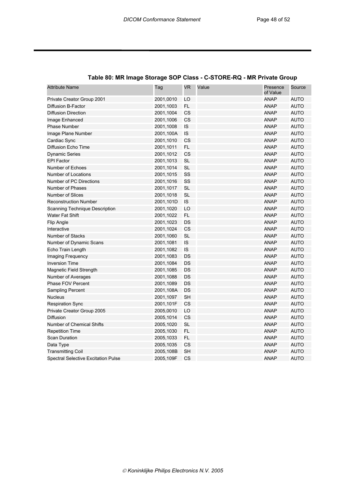| <b>Attribute Name</b>                      | Tag       | <b>VR</b> | Value | Presence<br>of Value | Source      |
|--------------------------------------------|-----------|-----------|-------|----------------------|-------------|
| Private Creator Group 2001                 | 2001,0010 | LO        |       | <b>ANAP</b>          | AUTO        |
| Diffusion B-Factor                         | 2001,1003 | <b>FL</b> |       | <b>ANAP</b>          | <b>AUTO</b> |
| <b>Diffusion Direction</b>                 | 2001,1004 | CS        |       | <b>ANAP</b>          | <b>AUTO</b> |
| Image Enhanced                             | 2001,1006 | CS        |       | <b>ANAP</b>          | <b>AUTO</b> |
| <b>Phase Number</b>                        | 2001,1008 | IS        |       | <b>ANAP</b>          | <b>AUTO</b> |
| Image Plane Number                         | 2001,100A | IS        |       | <b>ANAP</b>          | <b>AUTO</b> |
| Cardiac Sync                               | 2001,1010 | CS        |       | <b>ANAP</b>          | <b>AUTO</b> |
| Diffusion Echo Time                        | 2001,1011 | FL        |       | <b>ANAP</b>          | <b>AUTO</b> |
| <b>Dynamic Series</b>                      | 2001,1012 | CS        |       | <b>ANAP</b>          | <b>AUTO</b> |
| <b>EPI Factor</b>                          | 2001,1013 | <b>SL</b> |       | <b>ANAP</b>          | <b>AUTO</b> |
| Number of Echoes                           | 2001,1014 | <b>SL</b> |       | <b>ANAP</b>          | <b>AUTO</b> |
| Number of Locations                        | 2001,1015 | SS        |       | <b>ANAP</b>          | <b>AUTO</b> |
| Number of PC Directions                    | 2001,1016 | SS        |       | <b>ANAP</b>          | <b>AUTO</b> |
| Number of Phases                           | 2001,1017 | <b>SL</b> |       | <b>ANAP</b>          | <b>AUTO</b> |
| Number of Slices                           | 2001,1018 | <b>SL</b> |       | <b>ANAP</b>          | <b>AUTO</b> |
| <b>Reconstruction Number</b>               | 2001,101D | IS        |       | <b>ANAP</b>          | <b>AUTO</b> |
| <b>Scanning Technique Description</b>      | 2001,1020 | LO        |       | <b>ANAP</b>          | <b>AUTO</b> |
| <b>Water Fat Shift</b>                     | 2001,1022 | FL        |       | <b>ANAP</b>          | <b>AUTO</b> |
| Flip Angle                                 | 2001,1023 | DS        |       | <b>ANAP</b>          | <b>AUTO</b> |
| Interactive                                | 2001,1024 | CS        |       | <b>ANAP</b>          | <b>AUTO</b> |
| Number of Stacks                           | 2001,1060 | <b>SL</b> |       | <b>ANAP</b>          | <b>AUTO</b> |
| Number of Dynamic Scans                    | 2001,1081 | IS        |       | <b>ANAP</b>          | <b>AUTO</b> |
| Echo Train Length                          | 2001,1082 | IS        |       | <b>ANAP</b>          | <b>AUTO</b> |
| Imaging Frequency                          | 2001,1083 | DS        |       | <b>ANAP</b>          | <b>AUTO</b> |
| <b>Inversion Time</b>                      | 2001,1084 | DS        |       | <b>ANAP</b>          | <b>AUTO</b> |
| Magnetic Field Strength                    | 2001,1085 | DS        |       | <b>ANAP</b>          | <b>AUTO</b> |
| Number of Averages                         | 2001,1088 | DS        |       | <b>ANAP</b>          | <b>AUTO</b> |
| Phase FOV Percent                          | 2001,1089 | DS        |       | <b>ANAP</b>          | <b>AUTO</b> |
| <b>Sampling Percent</b>                    | 2001,108A | DS        |       | <b>ANAP</b>          | <b>AUTO</b> |
| <b>Nucleus</b>                             | 2001,1097 | <b>SH</b> |       | <b>ANAP</b>          | <b>AUTO</b> |
| <b>Respiration Sync</b>                    | 2001,101F | CS        |       | <b>ANAP</b>          | <b>AUTO</b> |
| Private Creator Group 2005                 | 2005,0010 | LO        |       | <b>ANAP</b>          | <b>AUTO</b> |
| Diffusion                                  | 2005,1014 | CS        |       | <b>ANAP</b>          | <b>AUTO</b> |
| Number of Chemical Shifts                  | 2005,1020 | <b>SL</b> |       | <b>ANAP</b>          | <b>AUTO</b> |
| <b>Repetition Time</b>                     | 2005,1030 | <b>FL</b> |       | <b>ANAP</b>          | <b>AUTO</b> |
| <b>Scan Duration</b>                       | 2005,1033 | <b>FL</b> |       | <b>ANAP</b>          | <b>AUTO</b> |
| Data Type                                  | 2005,1035 | CS        |       | <b>ANAP</b>          | <b>AUTO</b> |
| <b>Transmitting Coil</b>                   | 2005,108B | <b>SH</b> |       | <b>ANAP</b>          | <b>AUTO</b> |
| <b>Spectral Selective Excitation Pulse</b> | 2005,109F | <b>CS</b> |       | <b>ANAP</b>          | AUTO        |

## **Table 80: MR Image Storage SOP Class - C-STORE-RQ - MR Private Group**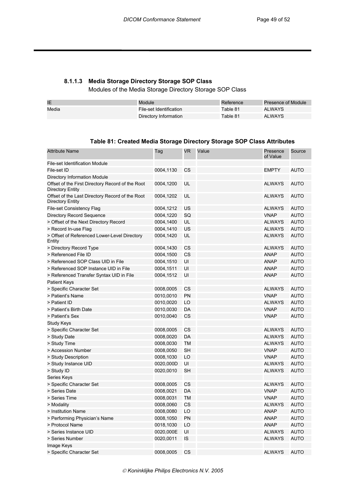## **8.1.1.3 Media Storage Directory Storage SOP Class**

Modules of the Media Storage Directory Storage SOP Class

| IE    | Module                  | Reference | Presence of Module |
|-------|-------------------------|-----------|--------------------|
| Media | File-set Identification | Table 81  | <b>ALWAYS</b>      |
|       | Directory Information   | Table 81  | <b>ALWAYS</b>      |

#### **Table 81: Created Media Storage Directory Storage SOP Class Attributes**

| <b>Attribute Name</b>                                                | Tag       | <b>VR</b> | Value | Presence<br>of Value | Source      |
|----------------------------------------------------------------------|-----------|-----------|-------|----------------------|-------------|
| <b>File-set Identification Module</b>                                |           |           |       |                      |             |
| File-set ID                                                          | 0004,1130 | CS        |       | <b>EMPTY</b>         | <b>AUTO</b> |
| Directory Information Module                                         |           |           |       |                      |             |
| Offset of the First Directory Record of the Root<br>Directory Entity | 0004,1200 | UL        |       | <b>ALWAYS</b>        | <b>AUTO</b> |
| Offset of the Last Directory Record of the Root<br>Directory Entity  | 0004,1202 | UL        |       | <b>ALWAYS</b>        | <b>AUTO</b> |
| <b>File-set Consistency Flag</b>                                     | 0004,1212 | US        |       | ALWAYS               | AUTO        |
| <b>Directory Record Sequence</b>                                     | 0004,1220 | SQ        |       | <b>VNAP</b>          | AUTO        |
| > Offset of the Next Directory Record                                | 0004,1400 | UL        |       | <b>ALWAYS</b>        | AUTO        |
| > Record In-use Flag                                                 | 0004,1410 | US        |       | ALWAYS               | AUTO        |
| > Offset of Referenced Lower-Level Directory<br>Entity               | 0004,1420 | UL        |       | ALWAYS               | AUTO        |
| > Directory Record Type                                              | 0004,1430 | CS        |       | ALWAYS               | AUTO        |
| > Referenced File ID                                                 | 0004,1500 | CS        |       | <b>ANAP</b>          | AUTO        |
| > Referenced SOP Class UID in File                                   | 0004,1510 | UI        |       | <b>ANAP</b>          | <b>AUTO</b> |
| > Referenced SOP Instance UID in File                                | 0004,1511 | UI        |       | <b>ANAP</b>          | <b>AUTO</b> |
| > Referenced Transfer Syntax UID in File                             | 0004,1512 | UI        |       | <b>ANAP</b>          | <b>AUTO</b> |
| <b>Patient Keys</b>                                                  |           |           |       |                      |             |
| > Specific Character Set                                             | 0008,0005 | CS        |       | ALWAYS               | AUTO        |
| > Patient's Name                                                     | 0010,0010 | PN        |       | <b>VNAP</b>          | <b>AUTO</b> |
| > Patient ID                                                         | 0010,0020 | LO        |       | <b>ALWAYS</b>        | <b>AUTO</b> |
| > Patient's Birth Date                                               | 0010,0030 | DA        |       | <b>VNAP</b>          | <b>AUTO</b> |
| > Patient's Sex                                                      | 0010,0040 | CS        |       | <b>VNAP</b>          | <b>AUTO</b> |
| <b>Study Keys</b>                                                    |           |           |       |                      |             |
| > Specific Character Set                                             | 0008,0005 | CS        |       | <b>ALWAYS</b>        | <b>AUTO</b> |
| > Study Date                                                         | 0008,0020 | DA        |       | <b>ALWAYS</b>        | <b>AUTO</b> |
| > Study Time                                                         | 0008,0030 | <b>TM</b> |       | <b>ALWAYS</b>        | <b>AUTO</b> |
| > Accession Number                                                   | 0008,0050 | <b>SH</b> |       | <b>VNAP</b>          | <b>AUTO</b> |
| > Study Description                                                  | 0008,1030 | LO        |       | <b>VNAP</b>          | <b>AUTO</b> |
| > Study Instance UID                                                 | 0020,000D | UI        |       | <b>ALWAYS</b>        | <b>AUTO</b> |
| > Study ID                                                           | 0020,0010 | <b>SH</b> |       | <b>ALWAYS</b>        | <b>AUTO</b> |
| Series Keys                                                          |           |           |       |                      |             |
| > Specific Character Set                                             | 0008,0005 | CS        |       | <b>ALWAYS</b>        | AUTO        |
| > Series Date                                                        | 0008,0021 | DA        |       | <b>VNAP</b>          | <b>AUTO</b> |
| > Series Time                                                        | 0008,0031 | <b>TM</b> |       | <b>VNAP</b>          | <b>AUTO</b> |
| > Modality                                                           | 0008,0060 | CS        |       | <b>ALWAYS</b>        | <b>AUTO</b> |
| > Institution Name                                                   | 0008,0080 | LO        |       | <b>ANAP</b>          | <b>AUTO</b> |
| > Performing Physician's Name                                        | 0008,1050 | PN        |       | <b>ANAP</b>          | <b>AUTO</b> |
| > Protocol Name                                                      | 0018,1030 | LO        |       | <b>ANAP</b>          | <b>AUTO</b> |
| > Series Instance UID                                                | 0020,000E | UI        |       | <b>ALWAYS</b>        | <b>AUTO</b> |
| > Series Number                                                      | 0020,0011 | IS        |       | <b>ALWAYS</b>        | <b>AUTO</b> |
| Image Keys                                                           |           |           |       |                      |             |
| > Specific Character Set                                             | 0008,0005 | CS        |       | <b>ALWAYS</b>        | <b>AUTO</b> |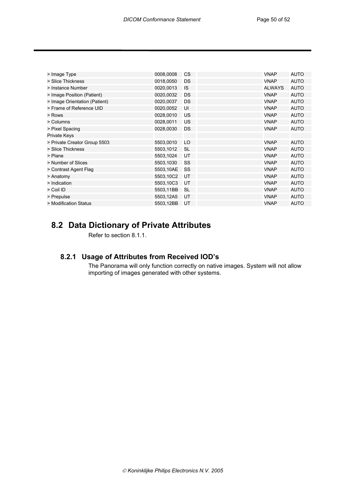| > Image Type                  | 0008,0008 | <b>CS</b> | <b>VNAP</b>   | <b>AUTO</b> |
|-------------------------------|-----------|-----------|---------------|-------------|
| > Slice Thickness             | 0018,0050 | <b>DS</b> | <b>VNAP</b>   | <b>AUTO</b> |
| > Instance Number             | 0020,0013 | <b>IS</b> | <b>ALWAYS</b> | <b>AUTO</b> |
| > Image Position (Patient)    | 0020,0032 | <b>DS</b> | <b>VNAP</b>   | <b>AUTO</b> |
| > Image Orientation (Patient) | 0020,0037 | DS        | <b>VNAP</b>   | <b>AUTO</b> |
| > Frame of Reference UID      | 0020,0052 | UI        | <b>VNAP</b>   | <b>AUTO</b> |
| > Rows                        | 0028,0010 | US        | <b>VNAP</b>   | <b>AUTO</b> |
| > Columns                     | 0028,0011 | US        | <b>VNAP</b>   | <b>AUTO</b> |
| > Pixel Spacing               | 0028,0030 | <b>DS</b> | <b>VNAP</b>   | <b>AUTO</b> |
| <b>Private Keys</b>           |           |           |               |             |
| > Private Creator Group 5503  | 5503,0010 | LO        | <b>VNAP</b>   | <b>AUTO</b> |
| > Slice Thickness             | 5503,1012 | <b>SL</b> | <b>VNAP</b>   | <b>AUTO</b> |
| > Plane                       | 5503,1024 | UT        | <b>VNAP</b>   | <b>AUTO</b> |
| > Number of Slices            | 5503,1030 | SS        | <b>VNAP</b>   | <b>AUTO</b> |
| > Contrast Agent Flag         | 5503,10AE | SS        | <b>VNAP</b>   | <b>AUTO</b> |
| > Anatomy                     | 5503,10C2 | UT        | <b>VNAP</b>   | <b>AUTO</b> |
| > Indication                  | 5503,10C3 | UT        | <b>VNAP</b>   | <b>AUTO</b> |
| > Coil ID                     | 5503,11BB | <b>SL</b> | <b>VNAP</b>   | <b>AUTO</b> |
| > Prepulse                    | 5503,12A5 | UT        | <b>VNAP</b>   | <b>AUTO</b> |
| > Modification Status         | 5503,12BB | UT        | <b>VNAP</b>   | <b>AUTO</b> |
|                               |           |           |               |             |

# **8.2 Data Dictionary of Private Attributes**

Refer to section 8.1.1.

## **8.2.1 Usage of Attributes from Received IOD's**

The Panorama will only function correctly on native images. System will not allow importing of images generated with other systems.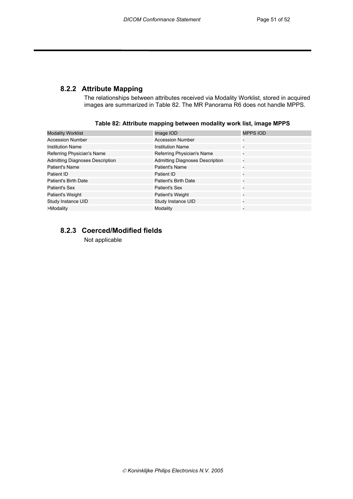## **8.2.2 Attribute Mapping**

The relationships between attributes received via Modality Worklist, stored in acquired images are summarized in Table 82. The MR Panorama R6 does not handle MPPS.

| <b>Modality Worklist</b>               | Image IOD                              | <b>MPPS IOD</b>          |
|----------------------------------------|----------------------------------------|--------------------------|
| <b>Accession Number</b>                | <b>Accession Number</b>                |                          |
| <b>Institution Name</b>                | <b>Institution Name</b>                |                          |
| Referring Physician's Name             | Referring Physician's Name             |                          |
| <b>Admitting Diagnoses Description</b> | <b>Admitting Diagnoses Description</b> | -                        |
| Patient's Name                         | <b>Patient's Name</b>                  | $\overline{\phantom{0}}$ |
| Patient ID                             | Patient ID                             |                          |
| Patient's Birth Date                   | <b>Patient's Birth Date</b>            |                          |
| Patient's Sex                          | Patient's Sex                          |                          |
| Patient's Weight                       | Patient's Weight                       |                          |
| Study Instance UID                     | Study Instance UID                     |                          |
| >Modality                              | Modality                               | $\overline{\phantom{0}}$ |

#### **Table 82: Attribute mapping between modality work list, image MPPS**

## **8.2.3 Coerced/Modified fields**

Not applicable